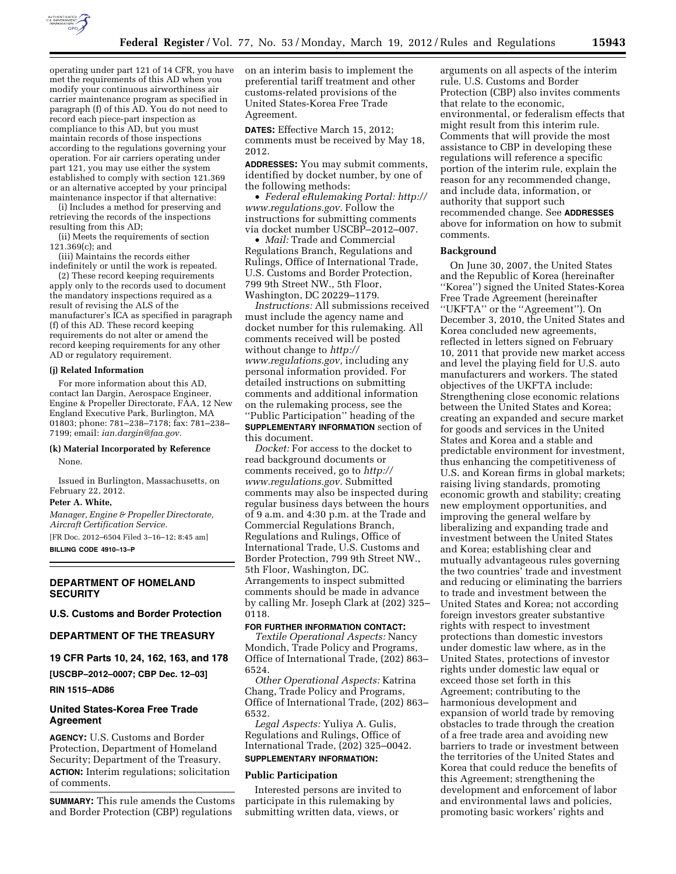

operating under part 121 of 14 CFR, you have met the requirements of this AD when you modify your continuous airworthiness air carrier maintenance program as specified in paragraph (f) of this AD. You do not need to record each piece-part inspection as compliance to this AD, but you must maintain records of those inspections according to the regulations governing your operation. For air carriers operating under part 121, you may use either the system established to comply with section 121.369 or an alternative accepted by your principal maintenance inspector if that alternative:

(i) Includes a method for preserving and retrieving the records of the inspections resulting from this AD;

(ii) Meets the requirements of section 121.369(c); and

(iii) Maintains the records either indefinitely or until the work is repeated.

(2) These record keeping requirements apply only to the records used to document the mandatory inspections required as a result of revising the ALS of the manufacturer's ICA as specified in paragraph (f) of this AD. These record keeping requirements do not alter or amend the record keeping requirements for any other AD or regulatory requirement.

### **(j) Related Information**

For more information about this AD, contact Ian Dargin, Aerospace Engineer, Engine & Propeller Directorate, FAA, 12 New England Executive Park, Burlington, MA 01803; phone: 781–238–7178; fax: 781–238– 7199; email: *[ian.dargin@faa.gov.](mailto:ian.dargin@faa.gov)* 

# **(k) Material Incorporated by Reference**

None.

Issued in Burlington, Massachusetts, on February 22, 2012.

# **Peter A. White,**

*Manager, Engine & Propeller Directorate, Aircraft Certification Service.* 

[FR Doc. 2012–6504 Filed 3–16–12; 8:45 am] **BILLING CODE 4910–13–P** 

# **DEPARTMENT OF HOMELAND SECURITY**

# **U.S. Customs and Border Protection**

# **DEPARTMENT OF THE TREASURY**

**19 CFR Parts 10, 24, 162, 163, and 178** 

**[USCBP–2012–0007; CBP Dec. 12–03] RIN 1515–AD86** 

# **United States-Korea Free Trade Agreement**

**AGENCY:** U.S. Customs and Border Protection, Department of Homeland Security; Department of the Treasury. **ACTION:** Interim regulations; solicitation of comments.

**SUMMARY:** This rule amends the Customs and Border Protection (CBP) regulations

on an interim basis to implement the preferential tariff treatment and other customs-related provisions of the United States-Korea Free Trade Agreement.

**DATES:** Effective March 15, 2012; comments must be received by May 18, 2012.

**ADDRESSES:** You may submit comments, identified by docket number, by one of the following methods:

• *Federal eRulemaking Portal: [http://](http://www.regulations.gov)  [www.regulations.gov.](http://www.regulations.gov)* Follow the instructions for submitting comments via docket number USCBP–2012–007.

• *Mail:* Trade and Commercial Regulations Branch, Regulations and Rulings, Office of International Trade, U.S. Customs and Border Protection, 799 9th Street NW., 5th Floor, Washington, DC 20229–1179.

*Instructions:* All submissions received must include the agency name and docket number for this rulemaking. All comments received will be posted without change to *[http://](http://www.regulations.gov) [www.regulations.gov,](http://www.regulations.gov)* including any personal information provided. For detailed instructions on submitting comments and additional information on the rulemaking process, see the ''Public Participation'' heading of the **SUPPLEMENTARY INFORMATION** section of this document.

*Docket:* For access to the docket to read background documents or comments received, go to *[http://](http://www.regulations.gov)  [www.regulations.gov.](http://www.regulations.gov)* Submitted comments may also be inspected during regular business days between the hours of 9 a.m. and 4:30 p.m. at the Trade and Commercial Regulations Branch, Regulations and Rulings, Office of International Trade, U.S. Customs and Border Protection, 799 9th Street NW., 5th Floor, Washington, DC. Arrangements to inspect submitted comments should be made in advance by calling Mr. Joseph Clark at (202) 325– 0118.

# **FOR FURTHER INFORMATION CONTACT:**

*Textile Operational Aspects:* Nancy Mondich, Trade Policy and Programs, Office of International Trade, (202) 863– 6524.

*Other Operational Aspects:* Katrina Chang, Trade Policy and Programs, Office of International Trade, (202) 863– 6532.

*Legal Aspects:* Yuliya A. Gulis, Regulations and Rulings, Office of International Trade, (202) 325–0042.

# **SUPPLEMENTARY INFORMATION:**

#### **Public Participation**

Interested persons are invited to participate in this rulemaking by submitting written data, views, or

arguments on all aspects of the interim rule. U.S. Customs and Border Protection (CBP) also invites comments that relate to the economic, environmental, or federalism effects that might result from this interim rule. Comments that will provide the most assistance to CBP in developing these regulations will reference a specific portion of the interim rule, explain the reason for any recommended change, and include data, information, or authority that support such recommended change. See **ADDRESSES** above for information on how to submit comments.

## **Background**

On June 30, 2007, the United States and the Republic of Korea (hereinafter ''Korea'') signed the United States-Korea Free Trade Agreement (hereinafter ''UKFTA'' or the ''Agreement''). On December 3, 2010, the United States and Korea concluded new agreements, reflected in letters signed on February 10, 2011 that provide new market access and level the playing field for U.S. auto manufacturers and workers. The stated objectives of the UKFTA include: Strengthening close economic relations between the United States and Korea; creating an expanded and secure market for goods and services in the United States and Korea and a stable and predictable environment for investment, thus enhancing the competitiveness of U.S. and Korean firms in global markets; raising living standards, promoting economic growth and stability; creating new employment opportunities, and improving the general welfare by liberalizing and expanding trade and investment between the United States and Korea; establishing clear and mutually advantageous rules governing the two countries' trade and investment and reducing or eliminating the barriers to trade and investment between the United States and Korea; not according foreign investors greater substantive rights with respect to investment protections than domestic investors under domestic law where, as in the United States, protections of investor rights under domestic law equal or exceed those set forth in this Agreement; contributing to the harmonious development and expansion of world trade by removing obstacles to trade through the creation of a free trade area and avoiding new barriers to trade or investment between the territories of the United States and Korea that could reduce the benefits of this Agreement; strengthening the development and enforcement of labor and environmental laws and policies, promoting basic workers' rights and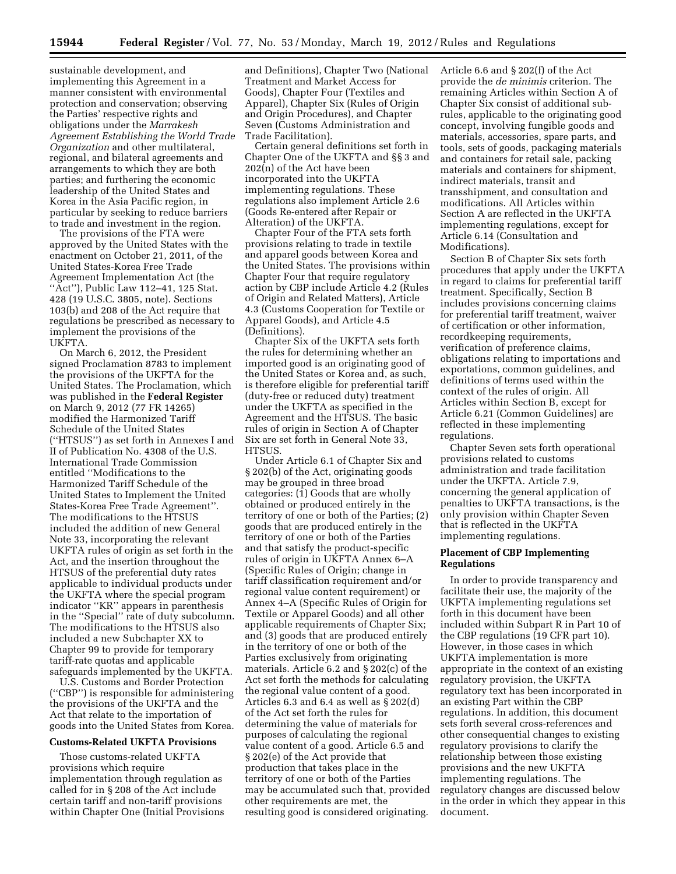sustainable development, and implementing this Agreement in a manner consistent with environmental protection and conservation; observing the Parties' respective rights and obligations under the *Marrakesh Agreement Establishing the World Trade Organization* and other multilateral, regional, and bilateral agreements and arrangements to which they are both parties; and furthering the economic leadership of the United States and Korea in the Asia Pacific region, in particular by seeking to reduce barriers to trade and investment in the region.

The provisions of the FTA were approved by the United States with the enactment on October 21, 2011, of the United States-Korea Free Trade Agreement Implementation Act (the "Act"), Public Law 112-41, 125 Stat. 428 (19 U.S.C. 3805, note). Sections 103(b) and 208 of the Act require that regulations be prescribed as necessary to implement the provisions of the UKFTA.

On March 6, 2012, the President signed Proclamation 8783 to implement the provisions of the UKFTA for the United States. The Proclamation, which was published in the **Federal Register**  on March 9, 2012 (77 FR 14265) modified the Harmonized Tariff Schedule of the United States (''HTSUS'') as set forth in Annexes I and II of Publication No. 4308 of the U.S. International Trade Commission entitled ''Modifications to the Harmonized Tariff Schedule of the United States to Implement the United States-Korea Free Trade Agreement''. The modifications to the HTSUS included the addition of new General Note 33, incorporating the relevant UKFTA rules of origin as set forth in the Act, and the insertion throughout the HTSUS of the preferential duty rates applicable to individual products under the UKFTA where the special program indicator ''KR'' appears in parenthesis in the ''Special'' rate of duty subcolumn. The modifications to the HTSUS also included a new Subchapter XX to Chapter 99 to provide for temporary tariff-rate quotas and applicable safeguards implemented by the UKFTA.

U.S. Customs and Border Protection (''CBP'') is responsible for administering the provisions of the UKFTA and the Act that relate to the importation of goods into the United States from Korea.

#### **Customs-Related UKFTA Provisions**

Those customs-related UKFTA provisions which require implementation through regulation as called for in § 208 of the Act include certain tariff and non-tariff provisions within Chapter One (Initial Provisions

and Definitions), Chapter Two (National Treatment and Market Access for Goods), Chapter Four (Textiles and Apparel), Chapter Six (Rules of Origin and Origin Procedures), and Chapter Seven (Customs Administration and Trade Facilitation).

Certain general definitions set forth in Chapter One of the UKFTA and §§ 3 and 202(n) of the Act have been incorporated into the UKFTA implementing regulations. These regulations also implement Article 2.6 (Goods Re-entered after Repair or Alteration) of the UKFTA.

Chapter Four of the FTA sets forth provisions relating to trade in textile and apparel goods between Korea and the United States. The provisions within Chapter Four that require regulatory action by CBP include Article 4.2 (Rules of Origin and Related Matters), Article 4.3 (Customs Cooperation for Textile or Apparel Goods), and Article 4.5 (Definitions).

Chapter Six of the UKFTA sets forth the rules for determining whether an imported good is an originating good of the United States or Korea and, as such, is therefore eligible for preferential tariff (duty-free or reduced duty) treatment under the UKFTA as specified in the Agreement and the HTSUS. The basic rules of origin in Section A of Chapter Six are set forth in General Note 33, HTSUS.

Under Article 6.1 of Chapter Six and § 202(b) of the Act, originating goods may be grouped in three broad categories: (1) Goods that are wholly obtained or produced entirely in the territory of one or both of the Parties; (2) goods that are produced entirely in the territory of one or both of the Parties and that satisfy the product-specific rules of origin in UKFTA Annex 6–A (Specific Rules of Origin; change in tariff classification requirement and/or regional value content requirement) or Annex 4–A (Specific Rules of Origin for Textile or Apparel Goods) and all other applicable requirements of Chapter Six; and (3) goods that are produced entirely in the territory of one or both of the Parties exclusively from originating materials. Article 6.2 and § 202(c) of the Act set forth the methods for calculating the regional value content of a good. Articles 6.3 and 6.4 as well as § 202(d) of the Act set forth the rules for determining the value of materials for purposes of calculating the regional value content of a good. Article 6.5 and § 202(e) of the Act provide that production that takes place in the territory of one or both of the Parties may be accumulated such that, provided other requirements are met, the resulting good is considered originating.

Article 6.6 and § 202(f) of the Act provide the *de minimis* criterion. The remaining Articles within Section A of Chapter Six consist of additional subrules, applicable to the originating good concept, involving fungible goods and materials, accessories, spare parts, and tools, sets of goods, packaging materials and containers for retail sale, packing materials and containers for shipment, indirect materials, transit and transshipment, and consultation and modifications. All Articles within Section A are reflected in the UKFTA implementing regulations, except for Article 6.14 (Consultation and Modifications).

Section B of Chapter Six sets forth procedures that apply under the UKFTA in regard to claims for preferential tariff treatment. Specifically, Section B includes provisions concerning claims for preferential tariff treatment, waiver of certification or other information, recordkeeping requirements, verification of preference claims, obligations relating to importations and exportations, common guidelines, and definitions of terms used within the context of the rules of origin. All Articles within Section B, except for Article 6.21 (Common Guidelines) are reflected in these implementing regulations.

Chapter Seven sets forth operational provisions related to customs administration and trade facilitation under the UKFTA. Article 7.9, concerning the general application of penalties to UKFTA transactions, is the only provision within Chapter Seven that is reflected in the UKFTA implementing regulations.

## **Placement of CBP Implementing Regulations**

In order to provide transparency and facilitate their use, the majority of the UKFTA implementing regulations set forth in this document have been included within Subpart R in Part 10 of the CBP regulations (19 CFR part 10). However, in those cases in which UKFTA implementation is more appropriate in the context of an existing regulatory provision, the UKFTA regulatory text has been incorporated in an existing Part within the CBP regulations. In addition, this document sets forth several cross-references and other consequential changes to existing regulatory provisions to clarify the relationship between those existing provisions and the new UKFTA implementing regulations. The regulatory changes are discussed below in the order in which they appear in this document.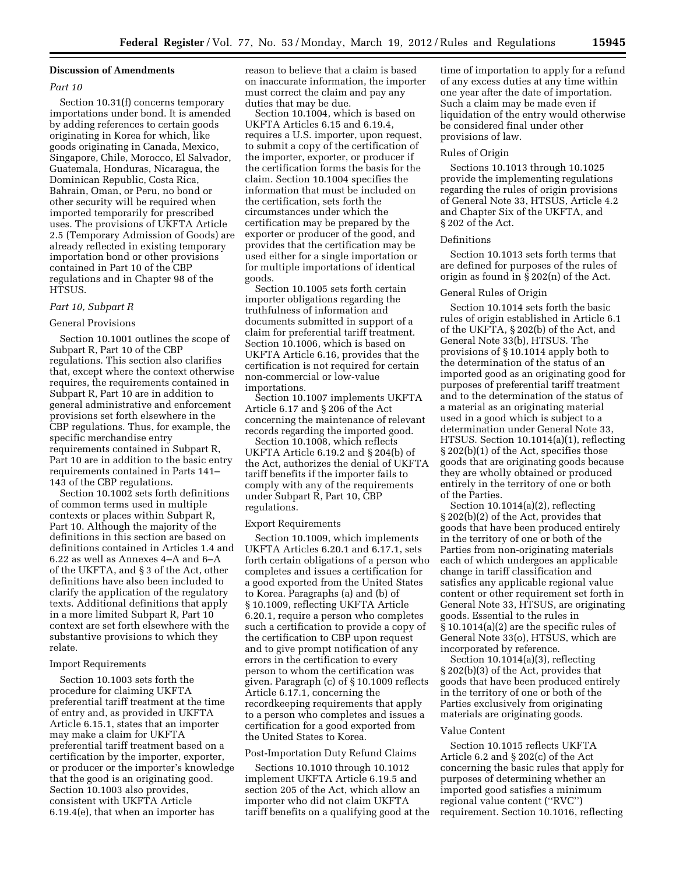# **Discussion of Amendments**

# *Part 10*

Section 10.31(f) concerns temporary importations under bond. It is amended by adding references to certain goods originating in Korea for which, like goods originating in Canada, Mexico, Singapore, Chile, Morocco, El Salvador, Guatemala, Honduras, Nicaragua, the Dominican Republic, Costa Rica, Bahrain, Oman, or Peru, no bond or other security will be required when imported temporarily for prescribed uses. The provisions of UKFTA Article 2.5 (Temporary Admission of Goods) are already reflected in existing temporary importation bond or other provisions contained in Part 10 of the CBP regulations and in Chapter 98 of the HTSUS.

# *Part 10, Subpart R*

#### General Provisions

Section 10.1001 outlines the scope of Subpart R, Part 10 of the CBP regulations. This section also clarifies that, except where the context otherwise requires, the requirements contained in Subpart R, Part 10 are in addition to general administrative and enforcement provisions set forth elsewhere in the CBP regulations. Thus, for example, the specific merchandise entry requirements contained in Subpart R, Part 10 are in addition to the basic entry requirements contained in Parts 141– 143 of the CBP regulations.

Section 10.1002 sets forth definitions of common terms used in multiple contexts or places within Subpart R, Part 10. Although the majority of the definitions in this section are based on definitions contained in Articles 1.4 and 6.22 as well as Annexes 4–A and 6–A of the UKFTA, and § 3 of the Act, other definitions have also been included to clarify the application of the regulatory texts. Additional definitions that apply in a more limited Subpart R, Part 10 context are set forth elsewhere with the substantive provisions to which they relate.

#### Import Requirements

Section 10.1003 sets forth the procedure for claiming UKFTA preferential tariff treatment at the time of entry and, as provided in UKFTA Article 6.15.1, states that an importer may make a claim for UKFTA preferential tariff treatment based on a certification by the importer, exporter, or producer or the importer's knowledge that the good is an originating good. Section 10.1003 also provides, consistent with UKFTA Article 6.19.4(e), that when an importer has

reason to believe that a claim is based on inaccurate information, the importer must correct the claim and pay any duties that may be due.

Section 10.1004, which is based on UKFTA Articles 6.15 and 6.19.4, requires a U.S. importer, upon request, to submit a copy of the certification of the importer, exporter, or producer if the certification forms the basis for the claim. Section 10.1004 specifies the information that must be included on the certification, sets forth the circumstances under which the certification may be prepared by the exporter or producer of the good, and provides that the certification may be used either for a single importation or for multiple importations of identical goods.

Section 10.1005 sets forth certain importer obligations regarding the truthfulness of information and documents submitted in support of a claim for preferential tariff treatment. Section 10.1006, which is based on UKFTA Article 6.16, provides that the certification is not required for certain non-commercial or low-value importations.

Section 10.1007 implements UKFTA Article 6.17 and § 206 of the Act concerning the maintenance of relevant records regarding the imported good.

Section 10.1008, which reflects UKFTA Article 6.19.2 and § 204(b) of the Act, authorizes the denial of UKFTA tariff benefits if the importer fails to comply with any of the requirements under Subpart R, Part 10, CBP regulations.

#### Export Requirements

Section 10.1009, which implements UKFTA Articles 6.20.1 and 6.17.1, sets forth certain obligations of a person who completes and issues a certification for a good exported from the United States to Korea. Paragraphs (a) and (b) of § 10.1009, reflecting UKFTA Article 6.20.1, require a person who completes such a certification to provide a copy of the certification to CBP upon request and to give prompt notification of any errors in the certification to every person to whom the certification was given. Paragraph (c) of § 10.1009 reflects Article 6.17.1, concerning the recordkeeping requirements that apply to a person who completes and issues a certification for a good exported from the United States to Korea.

#### Post-Importation Duty Refund Claims

Sections 10.1010 through 10.1012 implement UKFTA Article 6.19.5 and section 205 of the Act, which allow an importer who did not claim UKFTA tariff benefits on a qualifying good at the

time of importation to apply for a refund of any excess duties at any time within one year after the date of importation. Such a claim may be made even if liquidation of the entry would otherwise be considered final under other provisions of law.

#### Rules of Origin

Sections 10.1013 through 10.1025 provide the implementing regulations regarding the rules of origin provisions of General Note 33, HTSUS, Article 4.2 and Chapter Six of the UKFTA, and § 202 of the Act.

#### Definitions

Section 10.1013 sets forth terms that are defined for purposes of the rules of origin as found in § 202(n) of the Act.

#### General Rules of Origin

Section 10.1014 sets forth the basic rules of origin established in Article 6.1 of the UKFTA, § 202(b) of the Act, and General Note 33(b), HTSUS. The provisions of § 10.1014 apply both to the determination of the status of an imported good as an originating good for purposes of preferential tariff treatment and to the determination of the status of a material as an originating material used in a good which is subject to a determination under General Note 33, HTSUS. Section 10.1014(a)(1), reflecting § 202(b)(1) of the Act, specifies those goods that are originating goods because they are wholly obtained or produced entirely in the territory of one or both of the Parties.

Section 10.1014(a)(2), reflecting § 202(b)(2) of the Act, provides that goods that have been produced entirely in the territory of one or both of the Parties from non-originating materials each of which undergoes an applicable change in tariff classification and satisfies any applicable regional value content or other requirement set forth in General Note 33, HTSUS, are originating goods. Essential to the rules in § 10.1014(a)(2) are the specific rules of General Note 33(o), HTSUS, which are incorporated by reference.

Section 10.1014(a)(3), reflecting § 202(b)(3) of the Act, provides that goods that have been produced entirely in the territory of one or both of the Parties exclusively from originating materials are originating goods.

#### Value Content

Section 10.1015 reflects UKFTA Article 6.2 and § 202(c) of the Act concerning the basic rules that apply for purposes of determining whether an imported good satisfies a minimum regional value content (''RVC'') requirement. Section 10.1016, reflecting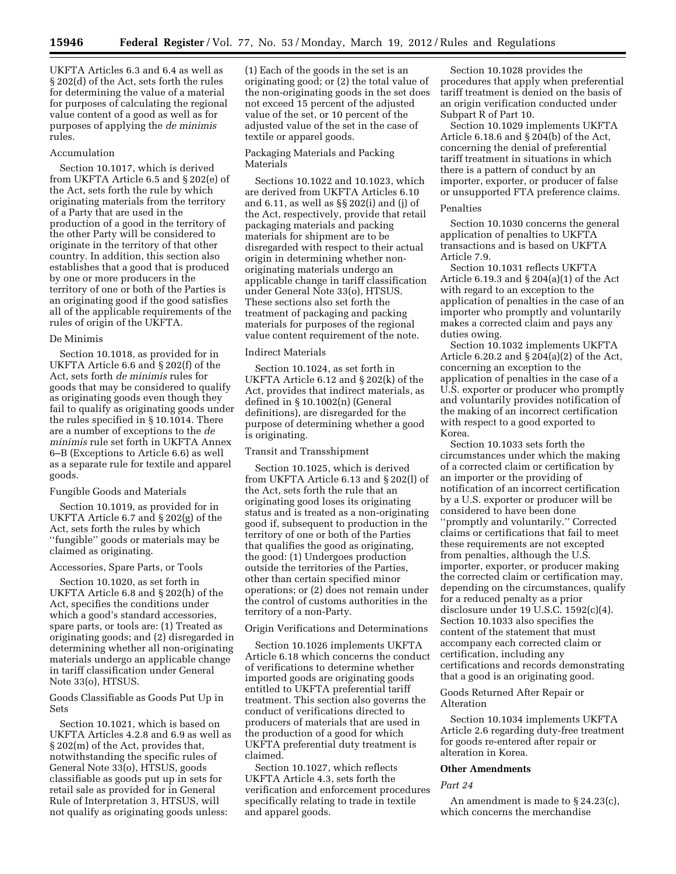UKFTA Articles 6.3 and 6.4 as well as § 202(d) of the Act, sets forth the rules for determining the value of a material for purposes of calculating the regional value content of a good as well as for purposes of applying the *de minimis*  rules.

# Accumulation

Section 10.1017, which is derived from UKFTA Article 6.5 and § 202(e) of the Act, sets forth the rule by which originating materials from the territory of a Party that are used in the production of a good in the territory of the other Party will be considered to originate in the territory of that other country. In addition, this section also establishes that a good that is produced by one or more producers in the territory of one or both of the Parties is an originating good if the good satisfies all of the applicable requirements of the rules of origin of the UKFTA.

#### De Minimis

Section 10.1018, as provided for in UKFTA Article 6.6 and § 202(f) of the Act, sets forth *de minimis* rules for goods that may be considered to qualify as originating goods even though they fail to qualify as originating goods under the rules specified in § 10.1014. There are a number of exceptions to the *de minimis* rule set forth in UKFTA Annex 6–B (Exceptions to Article 6.6) as well as a separate rule for textile and apparel goods.

### Fungible Goods and Materials

Section 10.1019, as provided for in UKFTA Article 6.7 and § 202(g) of the Act, sets forth the rules by which ''fungible'' goods or materials may be claimed as originating.

### Accessories, Spare Parts, or Tools

Section 10.1020, as set forth in UKFTA Article 6.8 and § 202(h) of the Act, specifies the conditions under which a good's standard accessories, spare parts, or tools are: (1) Treated as originating goods; and (2) disregarded in determining whether all non-originating materials undergo an applicable change in tariff classification under General Note 33(o), HTSUS.

Goods Classifiable as Goods Put Up in Sets

Section 10.1021, which is based on UKFTA Articles 4.2.8 and 6.9 as well as § 202(m) of the Act, provides that, notwithstanding the specific rules of General Note 33(o), HTSUS, goods classifiable as goods put up in sets for retail sale as provided for in General Rule of Interpretation 3, HTSUS, will not qualify as originating goods unless:

(1) Each of the goods in the set is an originating good; or (2) the total value of the non-originating goods in the set does not exceed 15 percent of the adjusted value of the set, or 10 percent of the adjusted value of the set in the case of textile or apparel goods.

# Packaging Materials and Packing Materials

Sections 10.1022 and 10.1023, which are derived from UKFTA Articles 6.10 and 6.11, as well as §§ 202(i) and (j) of the Act, respectively, provide that retail packaging materials and packing materials for shipment are to be disregarded with respect to their actual origin in determining whether nonoriginating materials undergo an applicable change in tariff classification under General Note 33(o), HTSUS. These sections also set forth the treatment of packaging and packing materials for purposes of the regional value content requirement of the note.

## Indirect Materials

Section 10.1024, as set forth in UKFTA Article 6.12 and § 202(k) of the Act, provides that indirect materials, as defined in § 10.1002(n) (General definitions), are disregarded for the purpose of determining whether a good is originating.

# Transit and Transshipment

Section 10.1025, which is derived from UKFTA Article 6.13 and § 202(l) of the Act, sets forth the rule that an originating good loses its originating status and is treated as a non-originating good if, subsequent to production in the territory of one or both of the Parties that qualifies the good as originating, the good: (1) Undergoes production outside the territories of the Parties, other than certain specified minor operations; or (2) does not remain under the control of customs authorities in the territory of a non-Party.

#### Origin Verifications and Determinations

Section 10.1026 implements UKFTA Article 6.18 which concerns the conduct of verifications to determine whether imported goods are originating goods entitled to UKFTA preferential tariff treatment. This section also governs the conduct of verifications directed to producers of materials that are used in the production of a good for which UKFTA preferential duty treatment is claimed.

Section 10.1027, which reflects UKFTA Article 4.3, sets forth the verification and enforcement procedures specifically relating to trade in textile and apparel goods.

Section 10.1028 provides the procedures that apply when preferential tariff treatment is denied on the basis of an origin verification conducted under Subpart R of Part 10.

Section 10.1029 implements UKFTA Article 6.18.6 and § 204(b) of the Act, concerning the denial of preferential tariff treatment in situations in which there is a pattern of conduct by an importer, exporter, or producer of false or unsupported FTA preference claims.

#### Penalties

Section 10.1030 concerns the general application of penalties to UKFTA transactions and is based on UKFTA Article 7.9.

Section 10.1031 reflects UKFTA Article 6.19.3 and § 204(a)(1) of the Act with regard to an exception to the application of penalties in the case of an importer who promptly and voluntarily makes a corrected claim and pays any duties owing.

Section 10.1032 implements UKFTA Article 6.20.2 and § 204(a)(2) of the Act, concerning an exception to the application of penalties in the case of a U.S. exporter or producer who promptly and voluntarily provides notification of the making of an incorrect certification with respect to a good exported to Korea.

Section 10.1033 sets forth the circumstances under which the making of a corrected claim or certification by an importer or the providing of notification of an incorrect certification by a U.S. exporter or producer will be considered to have been done ''promptly and voluntarily.'' Corrected claims or certifications that fail to meet these requirements are not excepted from penalties, although the U.S. importer, exporter, or producer making the corrected claim or certification may, depending on the circumstances, qualify for a reduced penalty as a prior disclosure under 19 U.S.C. 1592(c)(4). Section 10.1033 also specifies the content of the statement that must accompany each corrected claim or certification, including any certifications and records demonstrating that a good is an originating good.

# Goods Returned After Repair or Alteration

Section 10.1034 implements UKFTA Article 2.6 regarding duty-free treatment for goods re-entered after repair or alteration in Korea.

### **Other Amendments**

#### *Part 24*

An amendment is made to § 24.23(c), which concerns the merchandise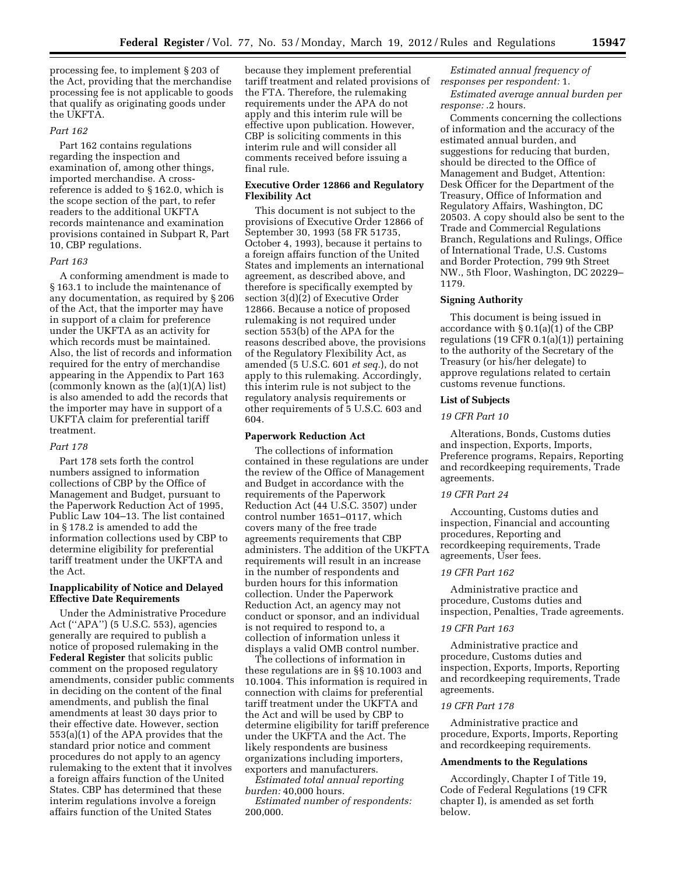processing fee, to implement § 203 of the Act, providing that the merchandise processing fee is not applicable to goods that qualify as originating goods under the UKFTA.

## *Part 162*

Part 162 contains regulations regarding the inspection and examination of, among other things, imported merchandise. A crossreference is added to § 162.0, which is the scope section of the part, to refer readers to the additional UKFTA records maintenance and examination provisions contained in Subpart R, Part 10, CBP regulations.

#### *Part 163*

A conforming amendment is made to § 163.1 to include the maintenance of any documentation, as required by § 206 of the Act, that the importer may have in support of a claim for preference under the UKFTA as an activity for which records must be maintained. Also, the list of records and information required for the entry of merchandise appearing in the Appendix to Part 163 (commonly known as the (a)(1)(A) list) is also amended to add the records that the importer may have in support of a UKFTA claim for preferential tariff treatment.

#### *Part 178*

Part 178 sets forth the control numbers assigned to information collections of CBP by the Office of Management and Budget, pursuant to the Paperwork Reduction Act of 1995, Public Law 104–13. The list contained in § 178.2 is amended to add the information collections used by CBP to determine eligibility for preferential tariff treatment under the UKFTA and the Act.

# **Inapplicability of Notice and Delayed Effective Date Requirements**

Under the Administrative Procedure Act (''APA'') (5 U.S.C. 553), agencies generally are required to publish a notice of proposed rulemaking in the **Federal Register** that solicits public comment on the proposed regulatory amendments, consider public comments in deciding on the content of the final amendments, and publish the final amendments at least 30 days prior to their effective date. However, section 553(a)(1) of the APA provides that the standard prior notice and comment procedures do not apply to an agency rulemaking to the extent that it involves a foreign affairs function of the United States. CBP has determined that these interim regulations involve a foreign affairs function of the United States

because they implement preferential tariff treatment and related provisions of the FTA. Therefore, the rulemaking requirements under the APA do not apply and this interim rule will be effective upon publication. However, CBP is soliciting comments in this interim rule and will consider all comments received before issuing a final rule.

## **Executive Order 12866 and Regulatory Flexibility Act**

This document is not subject to the provisions of Executive Order 12866 of September 30, 1993 (58 FR 51735, October 4, 1993), because it pertains to a foreign affairs function of the United States and implements an international agreement, as described above, and therefore is specifically exempted by section 3(d)(2) of Executive Order 12866. Because a notice of proposed rulemaking is not required under section 553(b) of the APA for the reasons described above, the provisions of the Regulatory Flexibility Act, as amended (5 U.S.C. 601 *et seq.*), do not apply to this rulemaking. Accordingly, this interim rule is not subject to the regulatory analysis requirements or other requirements of 5 U.S.C. 603 and 604.

# **Paperwork Reduction Act**

The collections of information contained in these regulations are under the review of the Office of Management and Budget in accordance with the requirements of the Paperwork Reduction Act (44 U.S.C. 3507) under control number 1651–0117, which covers many of the free trade agreements requirements that CBP administers. The addition of the UKFTA requirements will result in an increase in the number of respondents and burden hours for this information collection. Under the Paperwork Reduction Act, an agency may not conduct or sponsor, and an individual is not required to respond to, a collection of information unless it displays a valid OMB control number.

The collections of information in these regulations are in §§ 10.1003 and 10.1004. This information is required in connection with claims for preferential tariff treatment under the UKFTA and the Act and will be used by CBP to determine eligibility for tariff preference under the UKFTA and the Act. The likely respondents are business organizations including importers, exporters and manufacturers.

*Estimated total annual reporting burden:* 40,000 hours.

*Estimated number of respondents:*  200,000.

*Estimated annual frequency of responses per respondent:* 1.

*Estimated average annual burden per response:* .2 hours.

Comments concerning the collections of information and the accuracy of the estimated annual burden, and suggestions for reducing that burden, should be directed to the Office of Management and Budget, Attention: Desk Officer for the Department of the Treasury, Office of Information and Regulatory Affairs, Washington, DC 20503. A copy should also be sent to the Trade and Commercial Regulations Branch, Regulations and Rulings, Office of International Trade, U.S. Customs and Border Protection, 799 9th Street NW., 5th Floor, Washington, DC 20229– 1179.

### **Signing Authority**

This document is being issued in accordance with § 0.1(a)(1) of the CBP regulations (19 CFR 0.1(a)(1)) pertaining to the authority of the Secretary of the Treasury (or his/her delegate) to approve regulations related to certain customs revenue functions.

# **List of Subjects**

# *19 CFR Part 10*

Alterations, Bonds, Customs duties and inspection, Exports, Imports, Preference programs, Repairs, Reporting and recordkeeping requirements, Trade agreements.

## *19 CFR Part 24*

Accounting, Customs duties and inspection, Financial and accounting procedures, Reporting and recordkeeping requirements, Trade agreements, User fees.

# *19 CFR Part 162*

Administrative practice and procedure, Customs duties and inspection, Penalties, Trade agreements.

#### *19 CFR Part 163*

Administrative practice and procedure, Customs duties and inspection, Exports, Imports, Reporting and recordkeeping requirements, Trade agreements.

### *19 CFR Part 178*

Administrative practice and procedure, Exports, Imports, Reporting and recordkeeping requirements.

### **Amendments to the Regulations**

Accordingly, Chapter I of Title 19, Code of Federal Regulations (19 CFR chapter I), is amended as set forth below.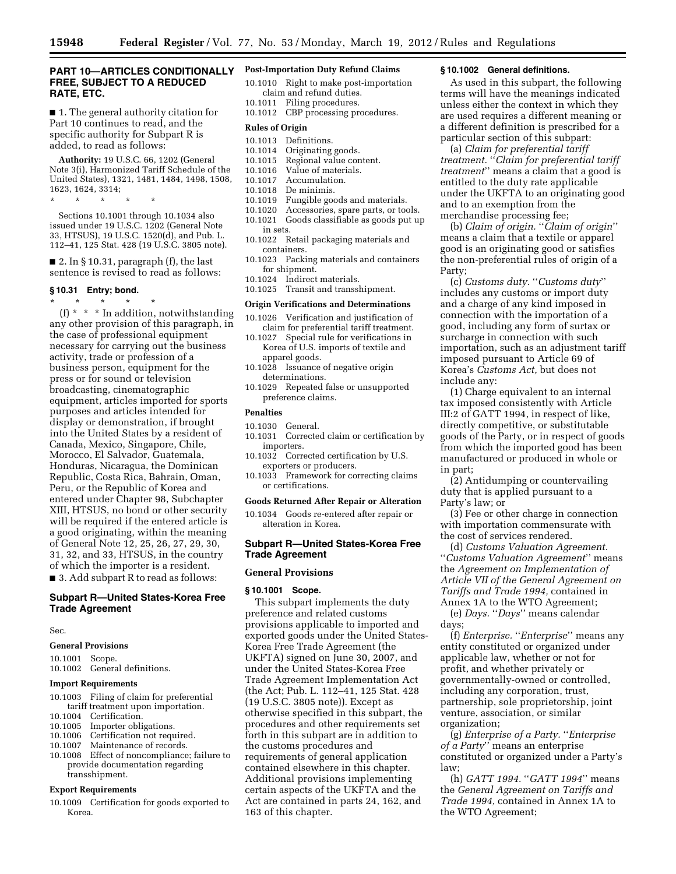# **PART 10—ARTICLES CONDITIONALLY FREE, SUBJECT TO A REDUCED RATE, ETC.**

■ 1. The general authority citation for Part 10 continues to read, and the specific authority for Subpart R is added, to read as follows:

**Authority:** 19 U.S.C. 66, 1202 (General Note 3(i), Harmonized Tariff Schedule of the United States), 1321, 1481, 1484, 1498, 1508, 1623, 1624, 3314;

\* \* \* \* \*

Sections 10.1001 through 10.1034 also issued under 19 U.S.C. 1202 (General Note 33, HTSUS), 19 U.S.C. 1520(d), and Pub. L. 112–41, 125 Stat. 428 (19 U.S.C. 3805 note).

 $\blacksquare$  2. In § 10.31, paragraph (f), the last sentence is revised to read as follows:

### **§ 10.31 Entry; bond.**

\* \* \* \* \* (f) \* \* \* In addition, notwithstanding any other provision of this paragraph, in the case of professional equipment necessary for carrying out the business activity, trade or profession of a business person, equipment for the press or for sound or television broadcasting, cinematographic equipment, articles imported for sports purposes and articles intended for display or demonstration, if brought into the United States by a resident of Canada, Mexico, Singapore, Chile, Morocco, El Salvador, Guatemala, Honduras, Nicaragua, the Dominican Republic, Costa Rica, Bahrain, Oman, Peru, or the Republic of Korea and entered under Chapter 98, Subchapter XIII, HTSUS, no bond or other security will be required if the entered article is a good originating, within the meaning of General Note 12, 25, 26, 27, 29, 30, 31, 32, and 33, HTSUS, in the country of which the importer is a resident. ■ 3. Add subpart R to read as follows:

# **Subpart R—United States-Korea Free Trade Agreement**

Sec.

#### **General Provisions**

10.1001 Scope. 10.1002 General definitions.

#### **Import Requirements**

- 10.1003 Filing of claim for preferential
- tariff treatment upon importation.
- 10.1004 Certification. 10.1005 Importer obligations.
- 
- 10.1006 Certification not required.<br>10.1007 Maintenance of records. Maintenance of records.
- 10.1008 Effect of noncompliance; failure to provide documentation regarding transshipment.

#### **Export Requirements**

10.1009 Certification for goods exported to Korea.

# **Post-Importation Duty Refund Claims**

- 10.1010 Right to make post-importation claim and refund duties. 10.1011 Filing procedures.
- 10.1012 CBP processing procedures.

#### **Rules of Origin**

- 10.1013 Definitions.<br>10.1014 Originating
- Originating goods.
- 10.1015 Regional value content.
- 10.1016 Value of materials.<br>10.1017 Accumulation.
- Accumulation.
- 10.1018 De minimis.
- 10.1019 Fungible goods and materials.
- 10.1020 Accessories, spare parts, or tools. 10.1021 Goods classifiable as goods put up
- in sets.
- 10.1022 Retail packaging materials and containers.
- 10.1023 Packing materials and containers for shipment.
- 10.1024 Indirect materials.
- 10.1025 Transit and transshipment.

# **Origin Verifications and Determinations**

- 10.1026 Verification and justification of claim for preferential tariff treatment.
- 10.1027 Special rule for verifications in Korea of U.S. imports of textile and apparel goods.
- 10.1028 Issuance of negative origin determinations.
- 10.1029 Repeated false or unsupported preference claims.

#### **Penalties**

- 10.1030 General.
- 10.1031 Corrected claim or certification by importers.
- 10.1032 Corrected certification by U.S. exporters or producers.
- 10.1033 Framework for correcting claims or certifications.

### **Goods Returned After Repair or Alteration**

10.1034 Goods re-entered after repair or alteration in Korea.

## **Subpart R—United States-Korea Free Trade Agreement**

#### **General Provisions**

#### **§ 10.1001 Scope.**

This subpart implements the duty preference and related customs provisions applicable to imported and exported goods under the United States-Korea Free Trade Agreement (the UKFTA) signed on June 30, 2007, and under the United States-Korea Free Trade Agreement Implementation Act (the Act; Pub. L. 112–41, 125 Stat. 428 (19 U.S.C. 3805 note)). Except as otherwise specified in this subpart, the procedures and other requirements set forth in this subpart are in addition to the customs procedures and requirements of general application contained elsewhere in this chapter. Additional provisions implementing certain aspects of the UKFTA and the Act are contained in parts 24, 162, and 163 of this chapter.

## **§ 10.1002 General definitions.**

As used in this subpart, the following terms will have the meanings indicated unless either the context in which they are used requires a different meaning or a different definition is prescribed for a particular section of this subpart:

(a) *Claim for preferential tariff treatment.* ''*Claim for preferential tariff treatment*'' means a claim that a good is entitled to the duty rate applicable under the UKFTA to an originating good and to an exemption from the merchandise processing fee;

(b) *Claim of origin.* ''*Claim of origin*'' means a claim that a textile or apparel good is an originating good or satisfies the non-preferential rules of origin of a Party;

(c) *Customs duty.* ''*Customs duty*'' includes any customs or import duty and a charge of any kind imposed in connection with the importation of a good, including any form of surtax or surcharge in connection with such importation, such as an adjustment tariff imposed pursuant to Article 69 of Korea's *Customs Act,* but does not include any:

(1) Charge equivalent to an internal tax imposed consistently with Article III:2 of GATT 1994, in respect of like, directly competitive, or substitutable goods of the Party, or in respect of goods from which the imported good has been manufactured or produced in whole or in part;

(2) Antidumping or countervailing duty that is applied pursuant to a Party's law; or

(3) Fee or other charge in connection with importation commensurate with the cost of services rendered.

(d) *Customs Valuation Agreement.*  ''*Customs Valuation Agreement*'' means the *Agreement on Implementation of Article VII of the General Agreement on Tariffs and Trade 1994,* contained in Annex 1A to the WTO Agreement;

(e) *Days.* ''*Days*'' means calendar days;

(f) *Enterprise.* ''*Enterprise*'' means any entity constituted or organized under applicable law, whether or not for profit, and whether privately or governmentally-owned or controlled, including any corporation, trust, partnership, sole proprietorship, joint venture, association, or similar organization;

(g) *Enterprise of a Party.* ''*Enterprise of a Party*'' means an enterprise constituted or organized under a Party's law;

(h) *GATT 1994.* "*GATT 1994*" means the *General Agreement on Tariffs and Trade 1994,* contained in Annex 1A to the WTO Agreement;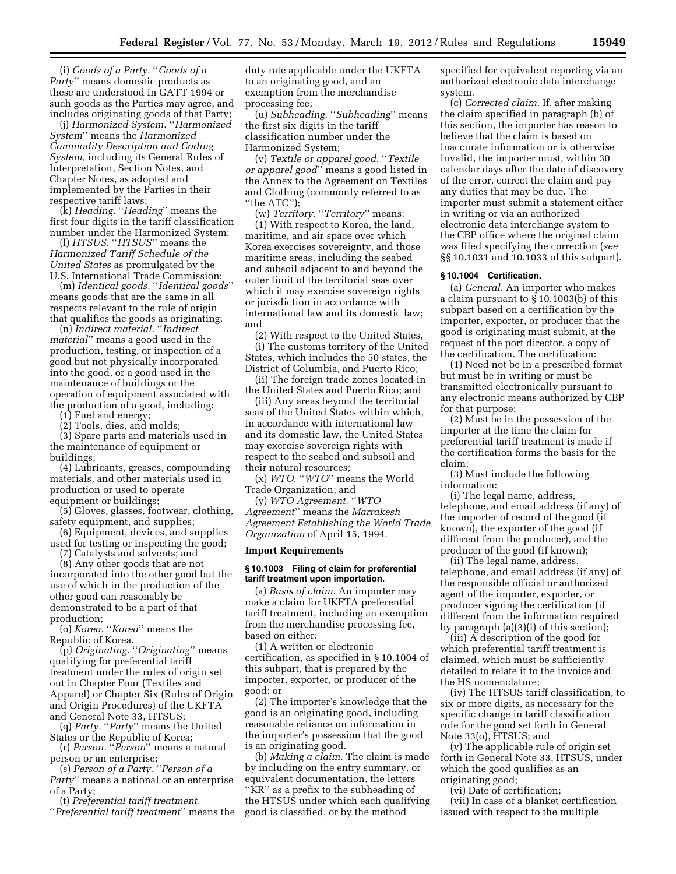(i) *Goods of a Party.* ''*Goods of a Party*'' means domestic products as these are understood in GATT 1994 or such goods as the Parties may agree, and includes originating goods of that Party;

(j) *Harmonized System.* ''*Harmonized System*'' means the *Harmonized Commodity Description and Coding System,* including its General Rules of Interpretation, Section Notes, and Chapter Notes, as adopted and implemented by the Parties in their respective tariff laws;

(k) *Heading.* ''*Heading*'' means the first four digits in the tariff classification number under the Harmonized System;

(l) *HTSUS.* "*HTSUS*" means the *Harmonized Tariff Schedule of the United States* as promulgated by the U.S. International Trade Commission;

(m) *Identical goods.* ''*Identical goods*'' means goods that are the same in all respects relevant to the rule of origin that qualifies the goods as originating;

(n) *Indirect material.* ''*Indirect material*'' means a good used in the production, testing, or inspection of a good but not physically incorporated into the good, or a good used in the maintenance of buildings or the operation of equipment associated with the production of a good, including:

(1) Fuel and energy;

(2) Tools, dies, and molds;

(3) Spare parts and materials used in the maintenance of equipment or buildings;

(4) Lubricants, greases, compounding materials, and other materials used in production or used to operate equipment or buildings;

(5) Gloves, glasses, footwear, clothing, safety equipment, and supplies;

(6) Equipment, devices, and supplies used for testing or inspecting the good;

(7) Catalysts and solvents; and

(8) Any other goods that are not incorporated into the other good but the use of which in the production of the other good can reasonably be demonstrated to be a part of that production;

(o) *Korea.* ''*Korea*'' means the Republic of Korea.

(p) *Originating.* ''*Originating*'' means qualifying for preferential tariff treatment under the rules of origin set out in Chapter Four (Textiles and Apparel) or Chapter Six (Rules of Origin and Origin Procedures) of the UKFTA and General Note 33, HTSUS;

(q) *Party.* ''*Party*'' means the United States or the Republic of Korea;

(r) *Person.* ''*Person*'' means a natural person or an enterprise;

(s) *Person of a Party.* ''*Person of a Party*'' means a national or an enterprise of a Party;

(t) *Preferential tariff treatment.* 

''*Preferential tariff treatment*'' means the

duty rate applicable under the UKFTA to an originating good, and an exemption from the merchandise processing fee;

(u) *Subheading.* ''*Subheading*'' means the first six digits in the tariff classification number under the Harmonized System;

(v) *Textile or apparel good.* ''*Textile or apparel good*'' means a good listed in the Annex to the Agreement on Textiles and Clothing (commonly referred to as ''the ATC'');

(w) *Territory.* ''*Territory*'' means: (1) With respect to Korea, the land, maritime, and air space over which Korea exercises sovereignty, and those maritime areas, including the seabed and subsoil adjacent to and beyond the outer limit of the territorial seas over which it may exercise sovereign rights or jurisdiction in accordance with international law and its domestic law; and

(2) With respect to the United States, (i) The customs territory of the United States, which includes the 50 states, the District of Columbia, and Puerto Rico;

(ii) The foreign trade zones located in the United States and Puerto Rico; and

(iii) Any areas beyond the territorial seas of the United States within which, in accordance with international law and its domestic law, the United States may exercise sovereign rights with respect to the seabed and subsoil and their natural resources;

(x) *WTO.* ''*WTO*'' means the World Trade Organization; and

(y) *WTO Agreement.* ''*WTO Agreement*'' means the *Marrakesh Agreement Establishing the World Trade Organization* of April 15, 1994.

## **Import Requirements**

### **§ 10.1003 Filing of claim for preferential tariff treatment upon importation.**

(a) *Basis of claim.* An importer may make a claim for UKFTA preferential tariff treatment, including an exemption from the merchandise processing fee, based on either:

(1) A written or electronic certification, as specified in § 10.1004 of this subpart, that is prepared by the importer, exporter, or producer of the good; or

(2) The importer's knowledge that the good is an originating good, including reasonable reliance on information in the importer's possession that the good is an originating good.

(b) *Making a claim.* The claim is made by including on the entry summary, or equivalent documentation, the letters ''KR'' as a prefix to the subheading of the HTSUS under which each qualifying good is classified, or by the method

specified for equivalent reporting via an authorized electronic data interchange system.

(c) *Corrected claim.* If, after making the claim specified in paragraph (b) of this section, the importer has reason to believe that the claim is based on inaccurate information or is otherwise invalid, the importer must, within 30 calendar days after the date of discovery of the error, correct the claim and pay any duties that may be due. The importer must submit a statement either in writing or via an authorized electronic data interchange system to the CBP office where the original claim was filed specifying the correction (*see*  §§ 10.1031 and 10.1033 of this subpart).

#### **§ 10.1004 Certification.**

(a) *General.* An importer who makes a claim pursuant to § 10.1003(b) of this subpart based on a certification by the importer, exporter, or producer that the good is originating must submit, at the request of the port director, a copy of the certification. The certification:

(1) Need not be in a prescribed format but must be in writing or must be transmitted electronically pursuant to any electronic means authorized by CBP for that purpose;

(2) Must be in the possession of the importer at the time the claim for preferential tariff treatment is made if the certification forms the basis for the claim;

(3) Must include the following information:

(i) The legal name, address, telephone, and email address (if any) of the importer of record of the good (if known), the exporter of the good (if different from the producer), and the producer of the good (if known);

(ii) The legal name, address, telephone, and email address (if any) of the responsible official or authorized agent of the importer, exporter, or producer signing the certification (if different from the information required by paragraph (a)(3)(i) of this section);

(iii) A description of the good for which preferential tariff treatment is claimed, which must be sufficiently detailed to relate it to the invoice and the HS nomenclature;

(iv) The HTSUS tariff classification, to six or more digits, as necessary for the specific change in tariff classification rule for the good set forth in General Note 33(o), HTSUS; and

(v) The applicable rule of origin set forth in General Note 33, HTSUS, under which the good qualifies as an originating good;

(vi) Date of certification;

(vii) In case of a blanket certification issued with respect to the multiple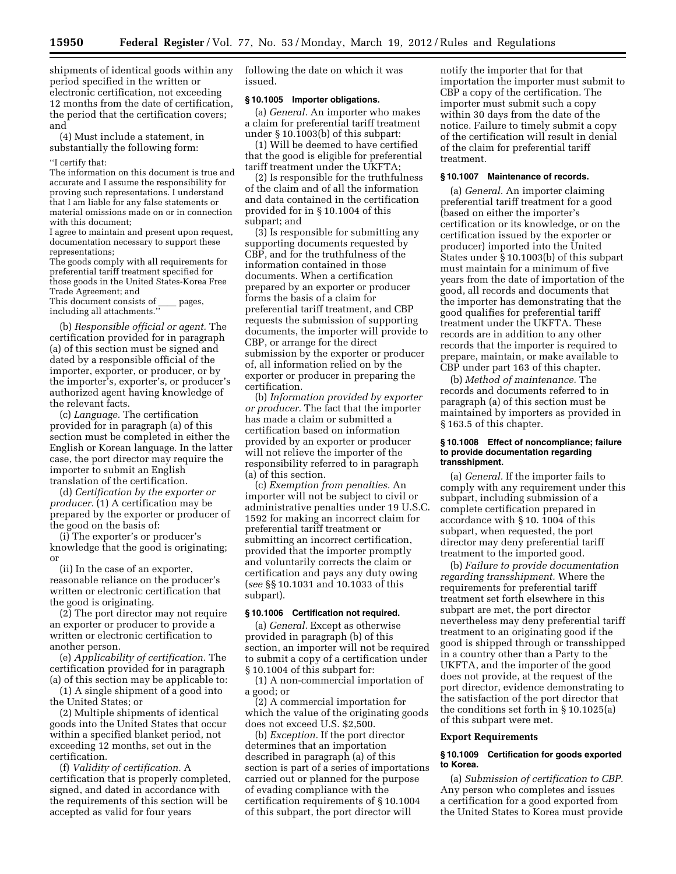**15950 Federal Register** / Vol. 77, No. 53 / Monday, March 19, 2012 / Rules and Regulations

shipments of identical goods within any period specified in the written or electronic certification, not exceeding 12 months from the date of certification, the period that the certification covers; and

(4) Must include a statement, in substantially the following form:

### ''I certify that:

The information on this document is true and accurate and I assume the responsibility for proving such representations. I understand that I am liable for any false statements or material omissions made on or in connection with this document:

I agree to maintain and present upon request, documentation necessary to support these representations;

The goods comply with all requirements for preferential tariff treatment specified for those goods in the United States-Korea Free Trade Agreement; and

This document consists of pages, including all attachments.''

(b) *Responsible official or agent.* The certification provided for in paragraph (a) of this section must be signed and dated by a responsible official of the importer, exporter, or producer, or by the importer's, exporter's, or producer's authorized agent having knowledge of the relevant facts.

(c) *Language.* The certification provided for in paragraph (a) of this section must be completed in either the English or Korean language. In the latter case, the port director may require the importer to submit an English translation of the certification.

(d) *Certification by the exporter or producer.* (1) A certification may be prepared by the exporter or producer of the good on the basis of:

(i) The exporter's or producer's knowledge that the good is originating; or

(ii) In the case of an exporter, reasonable reliance on the producer's written or electronic certification that the good is originating.

(2) The port director may not require an exporter or producer to provide a written or electronic certification to another person.

(e) *Applicability of certification.* The certification provided for in paragraph (a) of this section may be applicable to:

(1) A single shipment of a good into the United States; or

(2) Multiple shipments of identical goods into the United States that occur within a specified blanket period, not exceeding 12 months, set out in the certification.

(f) *Validity of certification.* A certification that is properly completed, signed, and dated in accordance with the requirements of this section will be accepted as valid for four years

following the date on which it was issued.

# **§ 10.1005 Importer obligations.**

(a) *General.* An importer who makes a claim for preferential tariff treatment under § 10.1003(b) of this subpart:

(1) Will be deemed to have certified that the good is eligible for preferential tariff treatment under the UKFTA;

(2) Is responsible for the truthfulness of the claim and of all the information and data contained in the certification provided for in § 10.1004 of this subpart; and

(3) Is responsible for submitting any supporting documents requested by CBP, and for the truthfulness of the information contained in those documents. When a certification prepared by an exporter or producer forms the basis of a claim for preferential tariff treatment, and CBP requests the submission of supporting documents, the importer will provide to CBP, or arrange for the direct submission by the exporter or producer of, all information relied on by the exporter or producer in preparing the certification.

(b) *Information provided by exporter or producer.* The fact that the importer has made a claim or submitted a certification based on information provided by an exporter or producer will not relieve the importer of the responsibility referred to in paragraph (a) of this section.

(c) *Exemption from penalties.* An importer will not be subject to civil or administrative penalties under 19 U.S.C. 1592 for making an incorrect claim for preferential tariff treatment or submitting an incorrect certification, provided that the importer promptly and voluntarily corrects the claim or certification and pays any duty owing (*see* §§ 10.1031 and 10.1033 of this subpart).

### **§ 10.1006 Certification not required.**

(a) *General.* Except as otherwise provided in paragraph (b) of this section, an importer will not be required to submit a copy of a certification under § 10.1004 of this subpart for:

(1) A non-commercial importation of a good; or

(2) A commercial importation for which the value of the originating goods does not exceed U.S. \$2,500.

(b) *Exception.* If the port director determines that an importation described in paragraph (a) of this section is part of a series of importations carried out or planned for the purpose of evading compliance with the certification requirements of § 10.1004 of this subpart, the port director will

notify the importer that for that importation the importer must submit to CBP a copy of the certification. The importer must submit such a copy within 30 days from the date of the notice. Failure to timely submit a copy of the certification will result in denial of the claim for preferential tariff treatment.

#### **§ 10.1007 Maintenance of records.**

(a) *General.* An importer claiming preferential tariff treatment for a good (based on either the importer's certification or its knowledge, or on the certification issued by the exporter or producer) imported into the United States under § 10.1003(b) of this subpart must maintain for a minimum of five years from the date of importation of the good, all records and documents that the importer has demonstrating that the good qualifies for preferential tariff treatment under the UKFTA. These records are in addition to any other records that the importer is required to prepare, maintain, or make available to CBP under part 163 of this chapter.

(b) *Method of maintenance.* The records and documents referred to in paragraph (a) of this section must be maintained by importers as provided in § 163.5 of this chapter.

### **§ 10.1008 Effect of noncompliance; failure to provide documentation regarding transshipment.**

(a) *General.* If the importer fails to comply with any requirement under this subpart, including submission of a complete certification prepared in accordance with § 10. 1004 of this subpart, when requested, the port director may deny preferential tariff treatment to the imported good.

(b) *Failure to provide documentation regarding transshipment.* Where the requirements for preferential tariff treatment set forth elsewhere in this subpart are met, the port director nevertheless may deny preferential tariff treatment to an originating good if the good is shipped through or transshipped in a country other than a Party to the UKFTA, and the importer of the good does not provide, at the request of the port director, evidence demonstrating to the satisfaction of the port director that the conditions set forth in § 10.1025(a) of this subpart were met.

# **Export Requirements**

# **§ 10.1009 Certification for goods exported to Korea.**

(a) *Submission of certification to CBP.*  Any person who completes and issues a certification for a good exported from the United States to Korea must provide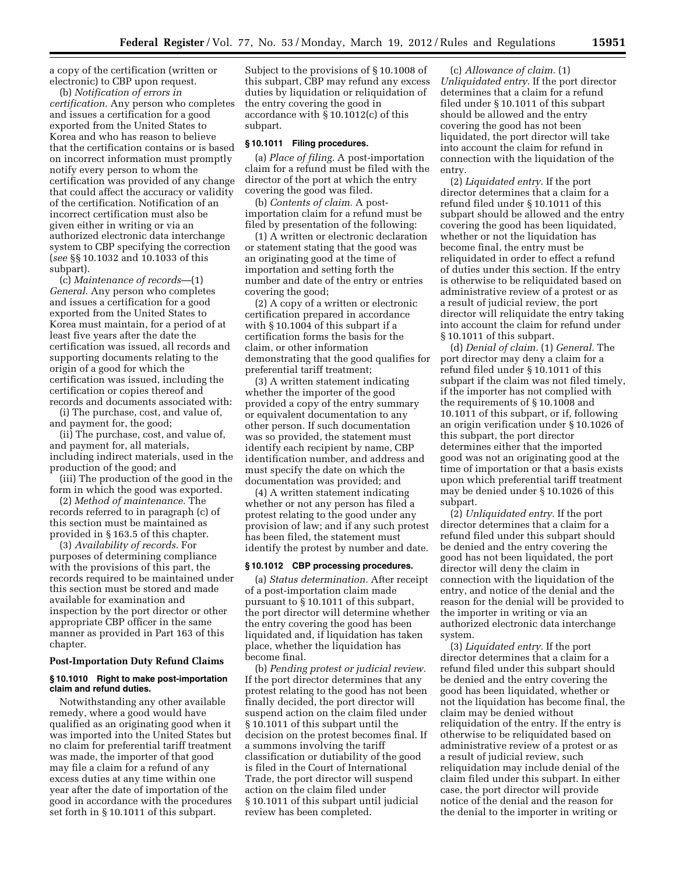a copy of the certification (written or electronic) to CBP upon request.

(b) *Notification of errors in certification.* Any person who completes and issues a certification for a good exported from the United States to Korea and who has reason to believe that the certification contains or is based on incorrect information must promptly notify every person to whom the certification was provided of any change that could affect the accuracy or validity of the certification. Notification of an incorrect certification must also be given either in writing or via an authorized electronic data interchange system to CBP specifying the correction (*see* §§ 10.1032 and 10.1033 of this subpart).

(c) *Maintenance of records*—(1) *General.* Any person who completes and issues a certification for a good exported from the United States to Korea must maintain, for a period of at least five years after the date the certification was issued, all records and supporting documents relating to the origin of a good for which the certification was issued, including the certification or copies thereof and records and documents associated with:

(i) The purchase, cost, and value of, and payment for, the good;

(ii) The purchase, cost, and value of, and payment for, all materials, including indirect materials, used in the production of the good; and

(iii) The production of the good in the form in which the good was exported.

(2) *Method of maintenance.* The records referred to in paragraph (c) of this section must be maintained as provided in § 163.5 of this chapter.

(3) *Availability of records.* For purposes of determining compliance with the provisions of this part, the records required to be maintained under this section must be stored and made available for examination and inspection by the port director or other appropriate CBP officer in the same manner as provided in Part 163 of this chapter.

## **Post-Importation Duty Refund Claims**

# **§ 10.1010 Right to make post-importation claim and refund duties.**

Notwithstanding any other available remedy, where a good would have qualified as an originating good when it was imported into the United States but no claim for preferential tariff treatment was made, the importer of that good may file a claim for a refund of any excess duties at any time within one year after the date of importation of the good in accordance with the procedures set forth in § 10.1011 of this subpart.

Subject to the provisions of § 10.1008 of this subpart, CBP may refund any excess duties by liquidation or reliquidation of the entry covering the good in accordance with § 10.1012(c) of this subpart.

# **§ 10.1011 Filing procedures.**

(a) *Place of filing.* A post-importation claim for a refund must be filed with the director of the port at which the entry covering the good was filed.

(b) *Contents of claim.* A postimportation claim for a refund must be filed by presentation of the following:

(1) A written or electronic declaration or statement stating that the good was an originating good at the time of importation and setting forth the number and date of the entry or entries covering the good;

(2) A copy of a written or electronic certification prepared in accordance with § 10.1004 of this subpart if a certification forms the basis for the claim, or other information demonstrating that the good qualifies for preferential tariff treatment;

(3) A written statement indicating whether the importer of the good provided a copy of the entry summary or equivalent documentation to any other person. If such documentation was so provided, the statement must identify each recipient by name, CBP identification number, and address and must specify the date on which the documentation was provided; and

(4) A written statement indicating whether or not any person has filed a protest relating to the good under any provision of law; and if any such protest has been filed, the statement must identify the protest by number and date.

### **§ 10.1012 CBP processing procedures.**

(a) *Status determination.* After receipt of a post-importation claim made pursuant to § 10.1011 of this subpart, the port director will determine whether the entry covering the good has been liquidated and, if liquidation has taken place, whether the liquidation has become final.

(b) *Pending protest or judicial review.*  If the port director determines that any protest relating to the good has not been finally decided, the port director will suspend action on the claim filed under § 10.1011 of this subpart until the decision on the protest becomes final. If a summons involving the tariff classification or dutiability of the good is filed in the Court of International Trade, the port director will suspend action on the claim filed under § 10.1011 of this subpart until judicial review has been completed.

(c) *Allowance of claim.* (1) *Unliquidated entry.* If the port director determines that a claim for a refund filed under § 10.1011 of this subpart should be allowed and the entry covering the good has not been liquidated, the port director will take into account the claim for refund in connection with the liquidation of the entry.

(2) *Liquidated entry.* If the port director determines that a claim for a refund filed under § 10.1011 of this subpart should be allowed and the entry covering the good has been liquidated, whether or not the liquidation has become final, the entry must be reliquidated in order to effect a refund of duties under this section. If the entry is otherwise to be reliquidated based on administrative review of a protest or as a result of judicial review, the port director will reliquidate the entry taking into account the claim for refund under § 10.1011 of this subpart.

(d) *Denial of claim.* (1) *General.* The port director may deny a claim for a refund filed under § 10.1011 of this subpart if the claim was not filed timely, if the importer has not complied with the requirements of § 10.1008 and 10.1011 of this subpart, or if, following an origin verification under § 10.1026 of this subpart, the port director determines either that the imported good was not an originating good at the time of importation or that a basis exists upon which preferential tariff treatment may be denied under § 10.1026 of this subpart.

(2) *Unliquidated entry.* If the port director determines that a claim for a refund filed under this subpart should be denied and the entry covering the good has not been liquidated, the port director will deny the claim in connection with the liquidation of the entry, and notice of the denial and the reason for the denial will be provided to the importer in writing or via an authorized electronic data interchange system.

(3) *Liquidated entry.* If the port director determines that a claim for a refund filed under this subpart should be denied and the entry covering the good has been liquidated, whether or not the liquidation has become final, the claim may be denied without reliquidation of the entry. If the entry is otherwise to be reliquidated based on administrative review of a protest or as a result of judicial review, such reliquidation may include denial of the claim filed under this subpart. In either case, the port director will provide notice of the denial and the reason for the denial to the importer in writing or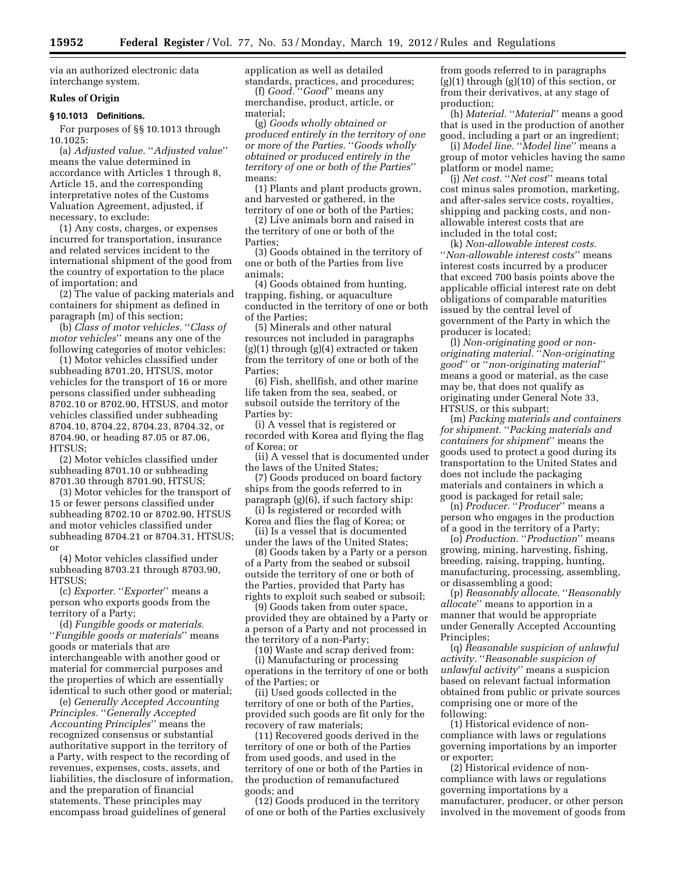via an authorized electronic data interchange system.

# **Rules of Origin**

# **§ 10.1013 Definitions.**

For purposes of §§ 10.1013 through 10.1025:

(a) *Adjusted value.* ''*Adjusted value*'' means the value determined in accordance with Articles 1 through 8, Article 15, and the corresponding interpretative notes of the Customs Valuation Agreement, adjusted, if necessary, to exclude:

(1) Any costs, charges, or expenses incurred for transportation, insurance and related services incident to the international shipment of the good from the country of exportation to the place of importation; and

(2) The value of packing materials and containers for shipment as defined in paragraph (m) of this section;

(b) *Class of motor vehicles.* ''*Class of motor vehicles*'' means any one of the following categories of motor vehicles:

(1) Motor vehicles classified under subheading 8701.20, HTSUS, motor vehicles for the transport of 16 or more persons classified under subheading 8702.10 or 8702.90, HTSUS, and motor vehicles classified under subheading 8704.10, 8704.22, 8704.23, 8704.32, or 8704.90, or heading 87.05 or 87.06, HTSUS;

(2) Motor vehicles classified under subheading 8701.10 or subheading 8701.30 through 8701.90, HTSUS;

(3) Motor vehicles for the transport of 15 or fewer persons classified under subheading 8702.10 or 8702.90, HTSUS and motor vehicles classified under subheading 8704.21 or 8704.31, HTSUS; or

(4) Motor vehicles classified under subheading 8703.21 through 8703.90, HTSUS<sup>.</sup>

(c) *Exporter.* ''*Exporter*'' means a person who exports goods from the territory of a Party;

(d) *Fungible goods or materials.*  ''*Fungible goods or materials*'' means goods or materials that are interchangeable with another good or material for commercial purposes and the properties of which are essentially identical to such other good or material;

(e) *Generally Accepted Accounting Principles.* ''*Generally Accepted Accounting Principles*'' means the recognized consensus or substantial authoritative support in the territory of a Party, with respect to the recording of revenues, expenses, costs, assets, and liabilities, the disclosure of information, and the preparation of financial statements. These principles may encompass broad guidelines of general

application as well as detailed standards, practices, and procedures;

(f) *Good.* ''*Good*'' means any merchandise, product, article, or material;

(g) *Goods wholly obtained or produced entirely in the territory of one or more of the Parties.* ''*Goods wholly obtained or produced entirely in the territory of one or both of the Parties*'' means:

(1) Plants and plant products grown, and harvested or gathered, in the territory of one or both of the Parties;

(2) Live animals born and raised in the territory of one or both of the Parties;

(3) Goods obtained in the territory of one or both of the Parties from live animals;

(4) Goods obtained from hunting, trapping, fishing, or aquaculture conducted in the territory of one or both of the Parties;

(5) Minerals and other natural resources not included in paragraphs (g)(1) through (g)(4) extracted or taken from the territory of one or both of the Parties;

(6) Fish, shellfish, and other marine life taken from the sea, seabed, or subsoil outside the territory of the Parties by:

(i) A vessel that is registered or recorded with Korea and flying the flag of Korea; or

(ii) A vessel that is documented under the laws of the United States;

(7) Goods produced on board factory ships from the goods referred to in paragraph (g)(6), if such factory ship:

(i) Is registered or recorded with Korea and flies the flag of Korea; or

(ii) Is a vessel that is documented under the laws of the United States;

(8) Goods taken by a Party or a person of a Party from the seabed or subsoil outside the territory of one or both of the Parties, provided that Party has rights to exploit such seabed or subsoil;

(9) Goods taken from outer space, provided they are obtained by a Party or a person of a Party and not processed in the territory of a non-Party;

(10) Waste and scrap derived from: (i) Manufacturing or processing operations in the territory of one or both of the Parties; or

(ii) Used goods collected in the territory of one or both of the Parties, provided such goods are fit only for the recovery of raw materials;

(11) Recovered goods derived in the territory of one or both of the Parties from used goods, and used in the territory of one or both of the Parties in the production of remanufactured goods; and

(12) Goods produced in the territory of one or both of the Parties exclusively from goods referred to in paragraphs (g)(1) through (g)(10) of this section, or from their derivatives, at any stage of production;

(h) *Material.* "*Material*" means a good that is used in the production of another good, including a part or an ingredient;

(i) *Model line.* ''*Model line*'' means a group of motor vehicles having the same platform or model name;

(j) *Net cost.* ''*Net cost*'' means total cost minus sales promotion, marketing, and after-sales service costs, royalties, shipping and packing costs, and nonallowable interest costs that are included in the total cost;

(k) *Non-allowable interest costs.*  ''*Non-allowable interest costs*'' means interest costs incurred by a producer that exceed 700 basis points above the applicable official interest rate on debt obligations of comparable maturities issued by the central level of government of the Party in which the producer is located;

(l) *Non-originating good or nonoriginating material.* ''*Non-originating good*'' or ''*non-originating material*'' means a good or material, as the case may be, that does not qualify as originating under General Note 33, HTSUS, or this subpart;

(m) *Packing materials and containers for shipment.* ''*Packing materials and containers for shipment*'' means the goods used to protect a good during its transportation to the United States and does not include the packaging materials and containers in which a good is packaged for retail sale;

(n) *Producer.* ''*Producer*'' means a person who engages in the production of a good in the territory of a Party;

(o) *Production.* ''*Production*'' means growing, mining, harvesting, fishing, breeding, raising, trapping, hunting, manufacturing, processing, assembling, or disassembling a good;

(p) *Reasonably allocate.* ''*Reasonably allocate*'' means to apportion in a manner that would be appropriate under Generally Accepted Accounting Principles;

(q) *Reasonable suspicion of unlawful activity.* ''*Reasonable suspicion of unlawful activity*'' means a suspicion based on relevant factual information obtained from public or private sources comprising one or more of the following:

(1) Historical evidence of noncompliance with laws or regulations governing importations by an importer or exporter;

(2) Historical evidence of noncompliance with laws or regulations governing importations by a manufacturer, producer, or other person involved in the movement of goods from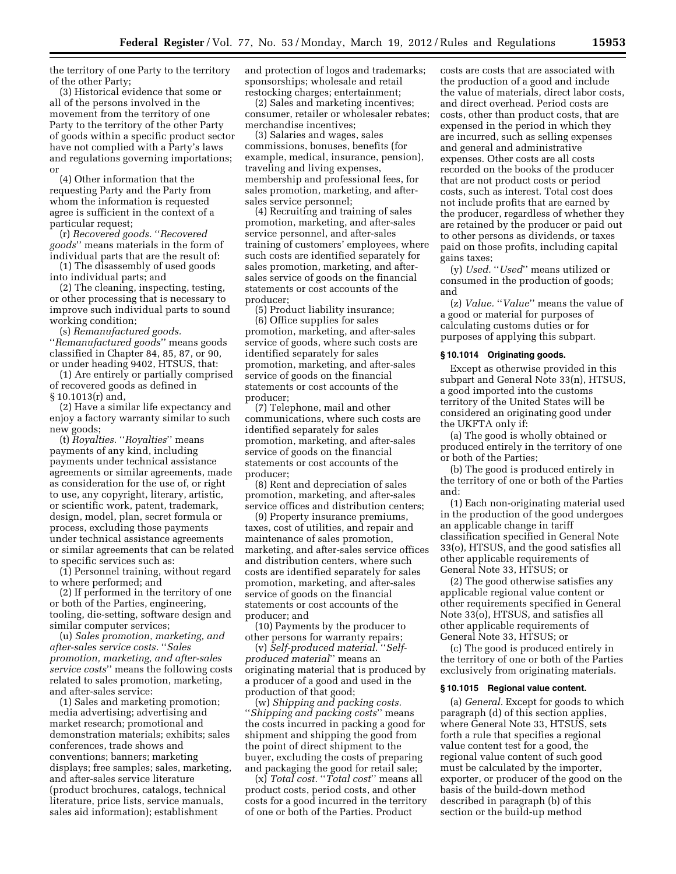the territory of one Party to the territory of the other Party;

(3) Historical evidence that some or all of the persons involved in the movement from the territory of one Party to the territory of the other Party of goods within a specific product sector have not complied with a Party's laws and regulations governing importations; or

(4) Other information that the requesting Party and the Party from whom the information is requested agree is sufficient in the context of a particular request;

(r) *Recovered goods.* ''*Recovered goods*'' means materials in the form of individual parts that are the result of:

(1) The disassembly of used goods into individual parts; and

(2) The cleaning, inspecting, testing, or other processing that is necessary to improve such individual parts to sound working condition;

(s) *Remanufactured goods.*  ''*Remanufactured goods*'' means goods classified in Chapter 84, 85, 87, or 90, or under heading 9402, HTSUS, that:

(1) Are entirely or partially comprised of recovered goods as defined in § 10.1013(r) and,

(2) Have a similar life expectancy and enjoy a factory warranty similar to such new goods;

(t) *Royalties.* ''*Royalties*'' means payments of any kind, including payments under technical assistance agreements or similar agreements, made as consideration for the use of, or right to use, any copyright, literary, artistic, or scientific work, patent, trademark, design, model, plan, secret formula or process, excluding those payments under technical assistance agreements or similar agreements that can be related to specific services such as:

(1) Personnel training, without regard to where performed; and

(2) If performed in the territory of one or both of the Parties, engineering, tooling, die-setting, software design and similar computer services;

(u) *Sales promotion, marketing, and after-sales service costs.* ''*Sales promotion, marketing, and after-sales service costs*'' means the following costs related to sales promotion, marketing, and after-sales service:

(1) Sales and marketing promotion; media advertising; advertising and market research; promotional and demonstration materials; exhibits; sales conferences, trade shows and conventions; banners; marketing displays; free samples; sales, marketing, and after-sales service literature (product brochures, catalogs, technical literature, price lists, service manuals, sales aid information); establishment

and protection of logos and trademarks; sponsorships; wholesale and retail restocking charges; entertainment;

(2) Sales and marketing incentives; consumer, retailer or wholesaler rebates; merchandise incentives;

(3) Salaries and wages, sales commissions, bonuses, benefits (for example, medical, insurance, pension), traveling and living expenses, membership and professional fees, for sales promotion, marketing, and aftersales service personnel;

(4) Recruiting and training of sales promotion, marketing, and after-sales service personnel, and after-sales training of customers' employees, where such costs are identified separately for sales promotion, marketing, and aftersales service of goods on the financial statements or cost accounts of the producer;

(5) Product liability insurance; (6) Office supplies for sales promotion, marketing, and after-sales service of goods, where such costs are identified separately for sales promotion, marketing, and after-sales service of goods on the financial statements or cost accounts of the producer;

(7) Telephone, mail and other communications, where such costs are identified separately for sales promotion, marketing, and after-sales service of goods on the financial statements or cost accounts of the producer;

(8) Rent and depreciation of sales promotion, marketing, and after-sales service offices and distribution centers;

(9) Property insurance premiums, taxes, cost of utilities, and repair and maintenance of sales promotion, marketing, and after-sales service offices and distribution centers, where such costs are identified separately for sales promotion, marketing, and after-sales service of goods on the financial statements or cost accounts of the producer; and

(10) Payments by the producer to other persons for warranty repairs;

(v) *Self-produced material.* ''*Selfproduced material*'' means an originating material that is produced by a producer of a good and used in the production of that good;

(w) *Shipping and packing costs.*  ''*Shipping and packing costs*'' means the costs incurred in packing a good for shipment and shipping the good from the point of direct shipment to the buyer, excluding the costs of preparing and packaging the good for retail sale;

(x) *Total cost.* ''*Total cost*'' means all product costs, period costs, and other costs for a good incurred in the territory of one or both of the Parties. Product

costs are costs that are associated with the production of a good and include the value of materials, direct labor costs, and direct overhead. Period costs are costs, other than product costs, that are expensed in the period in which they are incurred, such as selling expenses and general and administrative expenses. Other costs are all costs recorded on the books of the producer that are not product costs or period costs, such as interest. Total cost does not include profits that are earned by the producer, regardless of whether they are retained by the producer or paid out to other persons as dividends, or taxes paid on those profits, including capital gains taxes;

(y) *Used.* ''*Used*'' means utilized or consumed in the production of goods; and

(z) *Value.* ''*Value*'' means the value of a good or material for purposes of calculating customs duties or for purposes of applying this subpart.

#### **§ 10.1014 Originating goods.**

Except as otherwise provided in this subpart and General Note 33(n), HTSUS, a good imported into the customs territory of the United States will be considered an originating good under the UKFTA only if:

(a) The good is wholly obtained or produced entirely in the territory of one or both of the Parties;

(b) The good is produced entirely in the territory of one or both of the Parties and:

(1) Each non-originating material used in the production of the good undergoes an applicable change in tariff classification specified in General Note 33(o), HTSUS, and the good satisfies all other applicable requirements of General Note 33, HTSUS; or

(2) The good otherwise satisfies any applicable regional value content or other requirements specified in General Note 33(o), HTSUS, and satisfies all other applicable requirements of General Note 33, HTSUS; or

(c) The good is produced entirely in the territory of one or both of the Parties exclusively from originating materials.

#### **§ 10.1015 Regional value content.**

(a) *General.* Except for goods to which paragraph (d) of this section applies, where General Note 33, HTSUS, sets forth a rule that specifies a regional value content test for a good, the regional value content of such good must be calculated by the importer, exporter, or producer of the good on the basis of the build-down method described in paragraph (b) of this section or the build-up method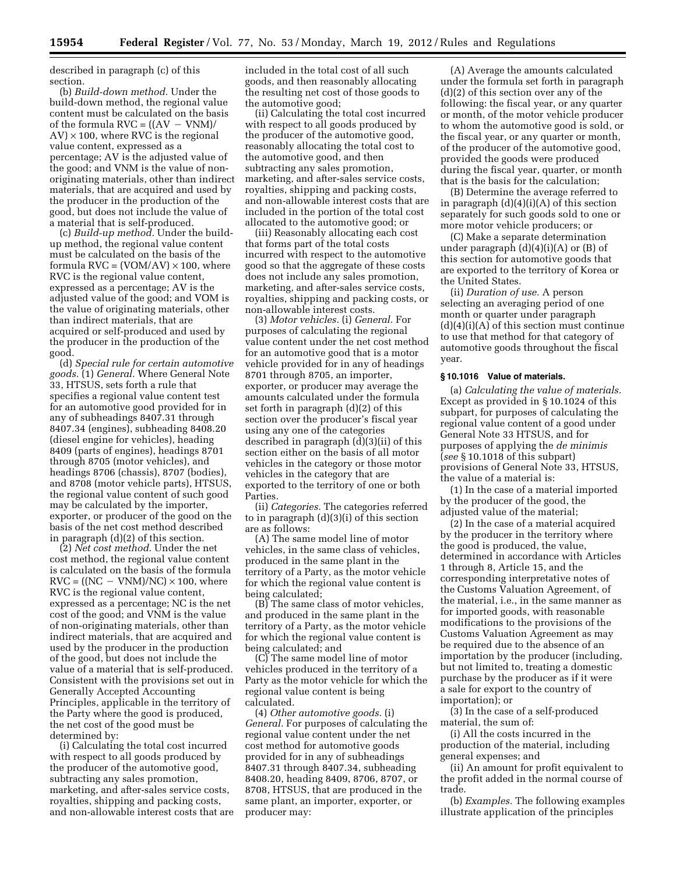described in paragraph (c) of this section.

(b) *Build-down method.* Under the build-down method, the regional value content must be calculated on the basis of the formula  $\text{RVC} = \left( \frac{\text{(AV - VNM)}}{\text{}} \right)$  $AV$ )  $\times$  100, where RVC is the regional value content, expressed as a percentage; AV is the adjusted value of the good; and VNM is the value of nonoriginating materials, other than indirect materials, that are acquired and used by the producer in the production of the good, but does not include the value of a material that is self-produced.

(c) *Build-up method.* Under the buildup method, the regional value content must be calculated on the basis of the formula  $RVC = (VOM/AV) \times 100$ , where RVC is the regional value content, expressed as a percentage; AV is the adjusted value of the good; and VOM is the value of originating materials, other than indirect materials, that are acquired or self-produced and used by the producer in the production of the good.

(d) *Special rule for certain automotive goods.* (1) *General.* Where General Note 33, HTSUS, sets forth a rule that specifies a regional value content test for an automotive good provided for in any of subheadings 8407.31 through 8407.34 (engines), subheading 8408.20 (diesel engine for vehicles), heading 8409 (parts of engines), headings 8701 through 8705 (motor vehicles), and headings 8706 (chassis), 8707 (bodies), and 8708 (motor vehicle parts), HTSUS, the regional value content of such good may be calculated by the importer, exporter, or producer of the good on the basis of the net cost method described in paragraph (d)(2) of this section.

(2) *Net cost method.* Under the net cost method, the regional value content is calculated on the basis of the formula  $RVC = ((NC - VNM)/NC) \times 100$ , where RVC is the regional value content, expressed as a percentage; NC is the net cost of the good; and VNM is the value of non-originating materials, other than indirect materials, that are acquired and used by the producer in the production of the good, but does not include the value of a material that is self-produced. Consistent with the provisions set out in Generally Accepted Accounting Principles, applicable in the territory of the Party where the good is produced, the net cost of the good must be determined by:

(i) Calculating the total cost incurred with respect to all goods produced by the producer of the automotive good, subtracting any sales promotion, marketing, and after-sales service costs, royalties, shipping and packing costs, and non-allowable interest costs that are included in the total cost of all such goods, and then reasonably allocating the resulting net cost of those goods to the automotive good;

(ii) Calculating the total cost incurred with respect to all goods produced by the producer of the automotive good, reasonably allocating the total cost to the automotive good, and then subtracting any sales promotion, marketing, and after-sales service costs, royalties, shipping and packing costs, and non-allowable interest costs that are included in the portion of the total cost allocated to the automotive good; or

(iii) Reasonably allocating each cost that forms part of the total costs incurred with respect to the automotive good so that the aggregate of these costs does not include any sales promotion, marketing, and after-sales service costs, royalties, shipping and packing costs, or non-allowable interest costs.

(3) *Motor vehicles.* (i) *General.* For purposes of calculating the regional value content under the net cost method for an automotive good that is a motor vehicle provided for in any of headings 8701 through 8705, an importer, exporter, or producer may average the amounts calculated under the formula set forth in paragraph (d)(2) of this section over the producer's fiscal year using any one of the categories described in paragraph (d)(3)(ii) of this section either on the basis of all motor vehicles in the category or those motor vehicles in the category that are exported to the territory of one or both Parties.

(ii) *Categories.* The categories referred to in paragraph (d)(3)(i) of this section are as follows:

(A) The same model line of motor vehicles, in the same class of vehicles, produced in the same plant in the territory of a Party, as the motor vehicle for which the regional value content is being calculated;

(B) The same class of motor vehicles, and produced in the same plant in the territory of a Party, as the motor vehicle for which the regional value content is being calculated; and

(C) The same model line of motor vehicles produced in the territory of a Party as the motor vehicle for which the regional value content is being calculated.

(4) *Other automotive goods.* (i) *General.* For purposes of calculating the regional value content under the net cost method for automotive goods provided for in any of subheadings 8407.31 through 8407.34, subheading 8408.20, heading 8409, 8706, 8707, or 8708, HTSUS, that are produced in the same plant, an importer, exporter, or producer may:

(A) Average the amounts calculated under the formula set forth in paragraph (d)(2) of this section over any of the following: the fiscal year, or any quarter or month, of the motor vehicle producer to whom the automotive good is sold, or the fiscal year, or any quarter or month, of the producer of the automotive good, provided the goods were produced during the fiscal year, quarter, or month that is the basis for the calculation;

(B) Determine the average referred to in paragraph  $(d)(4)(i)(A)$  of this section separately for such goods sold to one or more motor vehicle producers; or

(C) Make a separate determination under paragraph (d)(4)(i)(A) or (B) of this section for automotive goods that are exported to the territory of Korea or the United States.

(ii) *Duration of use.* A person selecting an averaging period of one month or quarter under paragraph  $(d)(4)(i)(A)$  of this section must continue to use that method for that category of automotive goods throughout the fiscal year.

# **§ 10.1016 Value of materials.**

(a) *Calculating the value of materials.*  Except as provided in § 10.1024 of this subpart, for purposes of calculating the regional value content of a good under General Note 33 HTSUS, and for purposes of applying the *de minimis*  (*see* § 10.1018 of this subpart) provisions of General Note 33, HTSUS, the value of a material is:

(1) In the case of a material imported by the producer of the good, the adjusted value of the material;

(2) In the case of a material acquired by the producer in the territory where the good is produced, the value, determined in accordance with Articles 1 through 8, Article 15, and the corresponding interpretative notes of the Customs Valuation Agreement, of the material, i.e., in the same manner as for imported goods, with reasonable modifications to the provisions of the Customs Valuation Agreement as may be required due to the absence of an importation by the producer (including, but not limited to, treating a domestic purchase by the producer as if it were a sale for export to the country of importation); or

(3) In the case of a self-produced material, the sum of:

(i) All the costs incurred in the production of the material, including general expenses; and

(ii) An amount for profit equivalent to the profit added in the normal course of trade.

(b) *Examples.* The following examples illustrate application of the principles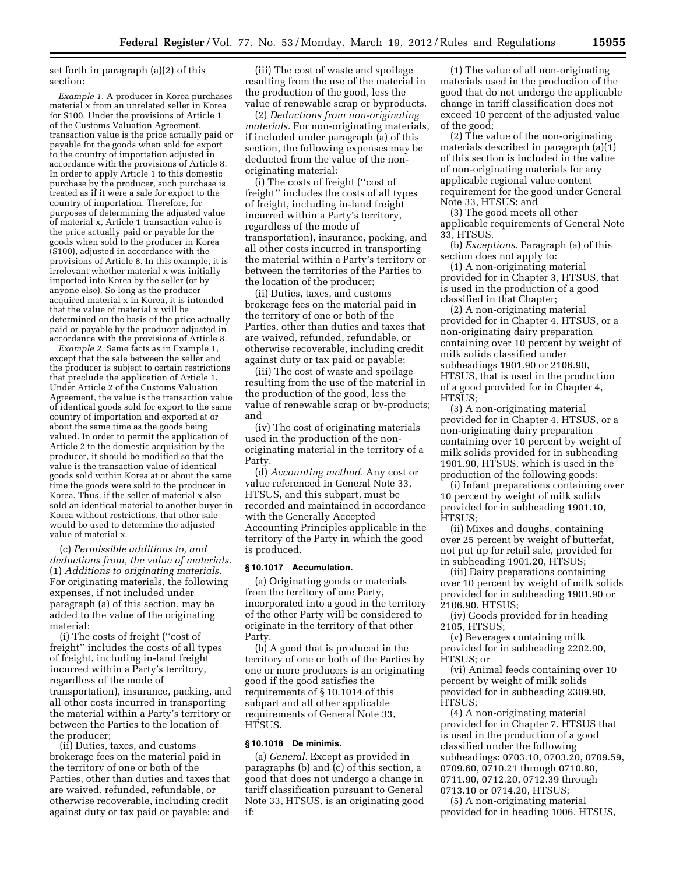set forth in paragraph (a)(2) of this section:

*Example 1.* A producer in Korea purchases material x from an unrelated seller in Korea for \$100. Under the provisions of Article 1 of the Customs Valuation Agreement, transaction value is the price actually paid or payable for the goods when sold for export to the country of importation adjusted in accordance with the provisions of Article 8. In order to apply Article 1 to this domestic purchase by the producer, such purchase is treated as if it were a sale for export to the country of importation. Therefore, for purposes of determining the adjusted value of material x, Article 1 transaction value is the price actually paid or payable for the goods when sold to the producer in Korea (\$100), adjusted in accordance with the provisions of Article 8. In this example, it is irrelevant whether material x was initially imported into Korea by the seller (or by anyone else). So long as the producer acquired material x in Korea, it is intended that the value of material x will be determined on the basis of the price actually paid or payable by the producer adjusted in accordance with the provisions of Article 8.

*Example 2.* Same facts as in Example 1, except that the sale between the seller and the producer is subject to certain restrictions that preclude the application of Article 1. Under Article 2 of the Customs Valuation Agreement, the value is the transaction value of identical goods sold for export to the same country of importation and exported at or about the same time as the goods being valued. In order to permit the application of Article 2 to the domestic acquisition by the producer, it should be modified so that the value is the transaction value of identical goods sold within Korea at or about the same time the goods were sold to the producer in Korea. Thus, if the seller of material x also sold an identical material to another buyer in Korea without restrictions, that other sale would be used to determine the adjusted value of material x.

(c) *Permissible additions to, and deductions from, the value of materials.*  (1) *Additions to originating materials.*  For originating materials, the following expenses, if not included under paragraph (a) of this section, may be added to the value of the originating material:

(i) The costs of freight (''cost of freight'' includes the costs of all types of freight, including in-land freight incurred within a Party's territory, regardless of the mode of transportation), insurance, packing, and all other costs incurred in transporting the material within a Party's territory or between the Parties to the location of the producer;

(ii) Duties, taxes, and customs brokerage fees on the material paid in the territory of one or both of the Parties, other than duties and taxes that are waived, refunded, refundable, or otherwise recoverable, including credit against duty or tax paid or payable; and

(iii) The cost of waste and spoilage resulting from the use of the material in the production of the good, less the value of renewable scrap or byproducts.

(2) *Deductions from non-originating materials.* For non-originating materials, if included under paragraph (a) of this section, the following expenses may be deducted from the value of the nonoriginating material:

(i) The costs of freight (''cost of freight'' includes the costs of all types of freight, including in-land freight incurred within a Party's territory, regardless of the mode of transportation), insurance, packing, and all other costs incurred in transporting the material within a Party's territory or between the territories of the Parties to the location of the producer;

(ii) Duties, taxes, and customs brokerage fees on the material paid in the territory of one or both of the Parties, other than duties and taxes that are waived, refunded, refundable, or otherwise recoverable, including credit against duty or tax paid or payable;

(iii) The cost of waste and spoilage resulting from the use of the material in the production of the good, less the value of renewable scrap or by-products; and

(iv) The cost of originating materials used in the production of the nonoriginating material in the territory of a Party.

(d) *Accounting method.* Any cost or value referenced in General Note 33, HTSUS, and this subpart, must be recorded and maintained in accordance with the Generally Accepted Accounting Principles applicable in the territory of the Party in which the good is produced.

#### **§ 10.1017 Accumulation.**

(a) Originating goods or materials from the territory of one Party, incorporated into a good in the territory of the other Party will be considered to originate in the territory of that other Party.

(b) A good that is produced in the territory of one or both of the Parties by one or more producers is an originating good if the good satisfies the requirements of § 10.1014 of this subpart and all other applicable requirements of General Note 33, HTSUS.

### **§ 10.1018 De minimis.**

(a) *General.* Except as provided in paragraphs (b) and (c) of this section, a good that does not undergo a change in tariff classification pursuant to General Note 33, HTSUS, is an originating good if:

(1) The value of all non-originating materials used in the production of the good that do not undergo the applicable change in tariff classification does not exceed 10 percent of the adjusted value of the good;

(2) The value of the non-originating materials described in paragraph (a)(1) of this section is included in the value of non-originating materials for any applicable regional value content requirement for the good under General Note 33, HTSUS; and

(3) The good meets all other applicable requirements of General Note 33, HTSUS.

(b) *Exceptions.* Paragraph (a) of this section does not apply to:

(1) A non-originating material provided for in Chapter 3, HTSUS, that is used in the production of a good classified in that Chapter;

(2) A non-originating material provided for in Chapter 4, HTSUS, or a non-originating dairy preparation containing over 10 percent by weight of milk solids classified under subheadings 1901.90 or 2106.90, HTSUS, that is used in the production of a good provided for in Chapter 4, HTSUS;

(3) A non-originating material provided for in Chapter 4, HTSUS, or a non-originating dairy preparation containing over 10 percent by weight of milk solids provided for in subheading 1901.90, HTSUS, which is used in the production of the following goods:

(i) Infant preparations containing over 10 percent by weight of milk solids provided for in subheading 1901.10, HTSUS;

(ii) Mixes and doughs, containing over 25 percent by weight of butterfat, not put up for retail sale, provided for in subheading 1901.20, HTSUS;

(iii) Dairy preparations containing over 10 percent by weight of milk solids provided for in subheading 1901.90 or 2106.90, HTSUS;

(iv) Goods provided for in heading 2105, HTSUS;

(v) Beverages containing milk provided for in subheading 2202.90, HTSUS; or

(vi) Animal feeds containing over 10 percent by weight of milk solids provided for in subheading 2309.90, HTSUS;

(4) A non-originating material provided for in Chapter 7, HTSUS that is used in the production of a good classified under the following subheadings: 0703.10, 0703.20, 0709.59, 0709.60, 0710.21 through 0710.80, 0711.90, 0712.20, 0712.39 through 0713.10 or 0714.20, HTSUS;

(5) A non-originating material provided for in heading 1006, HTSUS,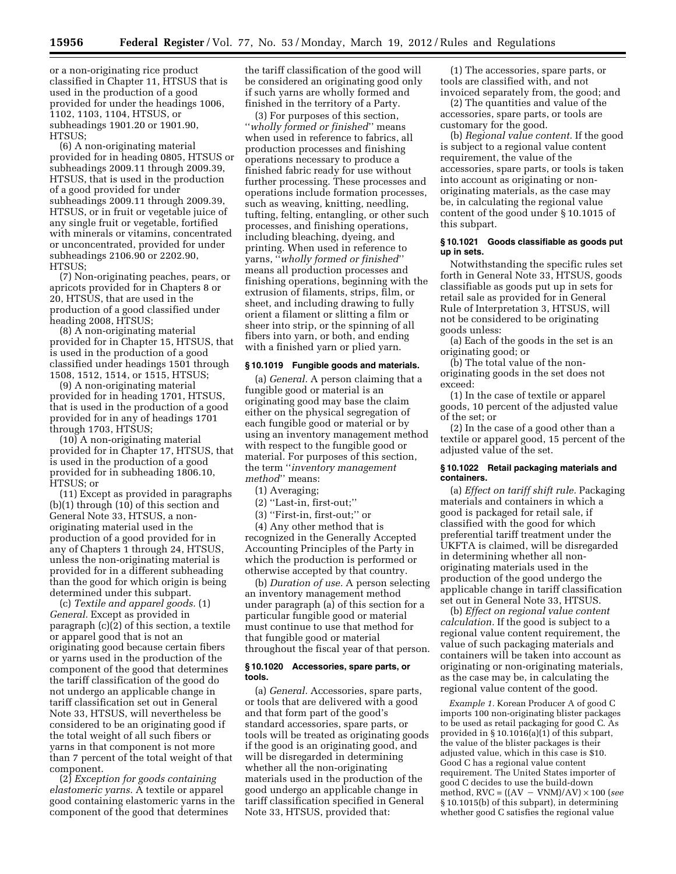or a non-originating rice product classified in Chapter 11, HTSUS that is used in the production of a good provided for under the headings 1006, 1102, 1103, 1104, HTSUS, or subheadings 1901.20 or 1901.90, HTSUS;

(6) A non-originating material provided for in heading 0805, HTSUS or subheadings 2009.11 through 2009.39, HTSUS, that is used in the production of a good provided for under subheadings 2009.11 through 2009.39, HTSUS, or in fruit or vegetable juice of any single fruit or vegetable, fortified with minerals or vitamins, concentrated or unconcentrated, provided for under subheadings 2106.90 or 2202.90, HTSUS;

(7) Non-originating peaches, pears, or apricots provided for in Chapters 8 or 20, HTSUS, that are used in the production of a good classified under heading 2008, HTSUS;

(8) A non-originating material provided for in Chapter 15, HTSUS, that is used in the production of a good classified under headings 1501 through 1508, 1512, 1514, or 1515, HTSUS;

(9) A non-originating material provided for in heading 1701, HTSUS, that is used in the production of a good provided for in any of headings 1701 through 1703, HTSUS;

(10) A non-originating material provided for in Chapter 17, HTSUS, that is used in the production of a good provided for in subheading 1806.10, HTSUS; or

(11) Except as provided in paragraphs (b)(1) through (10) of this section and General Note 33, HTSUS, a nonoriginating material used in the production of a good provided for in any of Chapters 1 through 24, HTSUS, unless the non-originating material is provided for in a different subheading than the good for which origin is being determined under this subpart.

(c) *Textile and apparel goods.* (1) *General.* Except as provided in paragraph (c)(2) of this section, a textile or apparel good that is not an originating good because certain fibers or yarns used in the production of the component of the good that determines the tariff classification of the good do not undergo an applicable change in tariff classification set out in General Note 33, HTSUS, will nevertheless be considered to be an originating good if the total weight of all such fibers or yarns in that component is not more than 7 percent of the total weight of that component.

(2) *Exception for goods containing elastomeric yarns.* A textile or apparel good containing elastomeric yarns in the component of the good that determines

the tariff classification of the good will be considered an originating good only if such yarns are wholly formed and finished in the territory of a Party.

(3) For purposes of this section, ''*wholly formed or finished*'' means when used in reference to fabrics, all production processes and finishing operations necessary to produce a finished fabric ready for use without further processing. These processes and operations include formation processes, such as weaving, knitting, needling, tufting, felting, entangling, or other such processes, and finishing operations, including bleaching, dyeing, and printing. When used in reference to yarns, ''*wholly formed or finished*'' means all production processes and finishing operations, beginning with the extrusion of filaments, strips, film, or sheet, and including drawing to fully orient a filament or slitting a film or sheer into strip, or the spinning of all fibers into yarn, or both, and ending with a finished yarn or plied yarn.

#### **§ 10.1019 Fungible goods and materials.**

(a) *General.* A person claiming that a fungible good or material is an originating good may base the claim either on the physical segregation of each fungible good or material or by using an inventory management method with respect to the fungible good or material. For purposes of this section, the term ''*inventory management method*'' means:

(1) Averaging;

(2) ''Last-in, first-out;''

(3) ''First-in, first-out;'' or

(4) Any other method that is recognized in the Generally Accepted Accounting Principles of the Party in which the production is performed or otherwise accepted by that country.

(b) *Duration of use.* A person selecting an inventory management method under paragraph (a) of this section for a particular fungible good or material must continue to use that method for that fungible good or material throughout the fiscal year of that person.

### **§ 10.1020 Accessories, spare parts, or tools.**

(a) *General.* Accessories, spare parts, or tools that are delivered with a good and that form part of the good's standard accessories, spare parts, or tools will be treated as originating goods if the good is an originating good, and will be disregarded in determining whether all the non-originating materials used in the production of the good undergo an applicable change in tariff classification specified in General Note 33, HTSUS, provided that:

(1) The accessories, spare parts, or tools are classified with, and not invoiced separately from, the good; and

(2) The quantities and value of the accessories, spare parts, or tools are customary for the good.

(b) *Regional value content.* If the good is subject to a regional value content requirement, the value of the accessories, spare parts, or tools is taken into account as originating or nonoriginating materials, as the case may be, in calculating the regional value content of the good under § 10.1015 of this subpart.

### **§ 10.1021 Goods classifiable as goods put up in sets.**

Notwithstanding the specific rules set forth in General Note 33, HTSUS, goods classifiable as goods put up in sets for retail sale as provided for in General Rule of Interpretation 3, HTSUS, will not be considered to be originating goods unless:

(a) Each of the goods in the set is an originating good; or

(b) The total value of the nonoriginating goods in the set does not exceed:

(1) In the case of textile or apparel goods, 10 percent of the adjusted value of the set; or

(2) In the case of a good other than a textile or apparel good, 15 percent of the adjusted value of the set.

#### **§ 10.1022 Retail packaging materials and containers.**

(a) *Effect on tariff shift rule.* Packaging materials and containers in which a good is packaged for retail sale, if classified with the good for which preferential tariff treatment under the UKFTA is claimed, will be disregarded in determining whether all nonoriginating materials used in the production of the good undergo the applicable change in tariff classification set out in General Note 33, HTSUS.

(b) *Effect on regional value content calculation.* If the good is subject to a regional value content requirement, the value of such packaging materials and containers will be taken into account as originating or non-originating materials, as the case may be, in calculating the regional value content of the good.

*Example 1.* Korean Producer A of good C imports 100 non-originating blister packages to be used as retail packaging for good C. As provided in § 10.1016(a)(1) of this subpart, the value of the blister packages is their adjusted value, which in this case is \$10. Good C has a regional value content requirement. The United States importer of good C decides to use the build-down method,  $RVC = ((AV - VNM)/AV) \times 100$  (*see* § 10.1015(b) of this subpart), in determining whether good C satisfies the regional value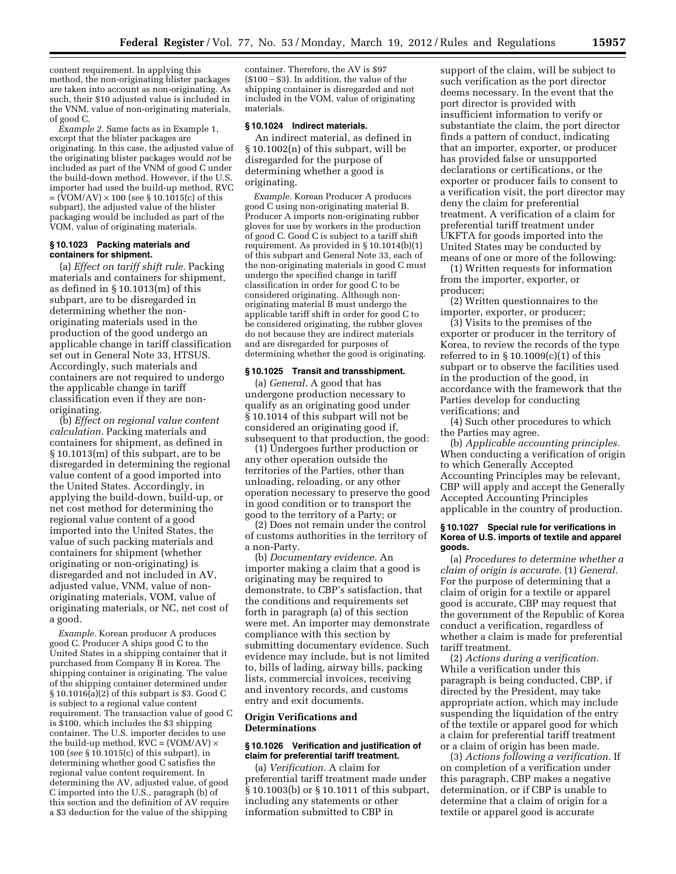content requirement. In applying this method, the non-originating blister packages are taken into account as non-originating. As such, their \$10 adjusted value is included in the VNM, value of non-originating materials, of good C.

*Example 2.* Same facts as in Example 1, except that the blister packages are originating. In this case, the adjusted value of the originating blister packages would *not* be included as part of the VNM of good C under the build-down method. However, if the U.S. importer had used the build-up method, RVC = (VOM/AV) × 100 (*see* § 10.1015(c) of this subpart), the adjusted value of the blister packaging would be included as part of the VOM, value of originating materials.

## **§ 10.1023 Packing materials and containers for shipment.**

(a) *Effect on tariff shift rule.* Packing materials and containers for shipment, as defined in § 10.1013(m) of this subpart, are to be disregarded in determining whether the nonoriginating materials used in the production of the good undergo an applicable change in tariff classification set out in General Note 33, HTSUS. Accordingly, such materials and containers are not required to undergo the applicable change in tariff classification even if they are nonoriginating.

(b) *Effect on regional value content calculation.* Packing materials and containers for shipment, as defined in § 10.1013(m) of this subpart, are to be disregarded in determining the regional value content of a good imported into the United States. Accordingly, in applying the build-down, build-up, or net cost method for determining the regional value content of a good imported into the United States, the value of such packing materials and containers for shipment (whether originating or non-originating) is disregarded and not included in AV, adjusted value, VNM, value of nonoriginating materials, VOM, value of originating materials, or NC, net cost of a good.

*Example.* Korean producer A produces good C. Producer A ships good  $\hat{C}$  to the United States in a shipping container that it purchased from Company B in Korea. The shipping container is originating. The value of the shipping container determined under  $\S 10.1016(a)(2)$  of this subpart is \$3. Good C is subject to a regional value content requirement. The transaction value of good C is \$100, which includes the \$3 shipping container. The U.S. importer decides to use the build-up method,  $\angle$ RVC = (VOM/AV)  $\times$ 100 (*see* § 10.1015(c) of this subpart), in determining whether good C satisfies the regional value content requirement. In determining the AV, adjusted value, of good C imported into the U.S., paragraph (b) of this section and the definition of AV require a \$3 deduction for the value of the shipping

container. Therefore, the AV is \$97  $($100 - $3)$ . In addition, the value of the shipping container is disregarded and not included in the VOM, value of originating materials.

# **§ 10.1024 Indirect materials.**

An indirect material, as defined in § 10.1002(n) of this subpart, will be disregarded for the purpose of determining whether a good is originating.

*Example.* Korean Producer A produces good C using non-originating material B. Producer A imports non-originating rubber gloves for use by workers in the production of good C. Good C is subject to a tariff shift requirement. As provided in § 10.1014(b)(1) of this subpart and General Note 33, each of the non-originating materials in good C must undergo the specified change in tariff classification in order for good C to be considered originating. Although nonoriginating material B must undergo the applicable tariff shift in order for good C to be considered originating, the rubber gloves do not because they are indirect materials and are disregarded for purposes of determining whether the good is originating.

### **§ 10.1025 Transit and transshipment.**

(a) *General.* A good that has undergone production necessary to qualify as an originating good under § 10.1014 of this subpart will not be considered an originating good if, subsequent to that production, the good:

(1) Undergoes further production or any other operation outside the territories of the Parties, other than unloading, reloading, or any other operation necessary to preserve the good in good condition or to transport the good to the territory of a Party; or

(2) Does not remain under the control of customs authorities in the territory of a non-Party.

(b) *Documentary evidence.* An importer making a claim that a good is originating may be required to demonstrate, to CBP's satisfaction, that the conditions and requirements set forth in paragraph (a) of this section were met. An importer may demonstrate compliance with this section by submitting documentary evidence. Such evidence may include, but is not limited to, bills of lading, airway bills, packing lists, commercial invoices, receiving and inventory records, and customs entry and exit documents.

## **Origin Verifications and Determinations**

## **§ 10.1026 Verification and justification of claim for preferential tariff treatment.**

(a) *Verification.* A claim for preferential tariff treatment made under § 10.1003(b) or § 10.1011 of this subpart, including any statements or other information submitted to CBP in

support of the claim, will be subject to such verification as the port director deems necessary. In the event that the port director is provided with insufficient information to verify or substantiate the claim, the port director finds a pattern of conduct, indicating that an importer, exporter, or producer has provided false or unsupported declarations or certifications, or the exporter or producer fails to consent to a verification visit, the port director may deny the claim for preferential treatment. A verification of a claim for preferential tariff treatment under UKFTA for goods imported into the United States may be conducted by means of one or more of the following:

(1) Written requests for information from the importer, exporter, or producer;

(2) Written questionnaires to the importer, exporter, or producer;

(3) Visits to the premises of the exporter or producer in the territory of Korea, to review the records of the type referred to in § 10.1009(c)(1) of this subpart or to observe the facilities used in the production of the good, in accordance with the framework that the Parties develop for conducting verifications; and

(4) Such other procedures to which the Parties may agree.

(b) *Applicable accounting principles.*  When conducting a verification of origin to which Generally Accepted Accounting Principles may be relevant, CBP will apply and accept the Generally Accepted Accounting Principles applicable in the country of production.

## **§ 10.1027 Special rule for verifications in Korea of U.S. imports of textile and apparel goods.**

(a) *Procedures to determine whether a claim of origin is accurate.* (1) *General.*  For the purpose of determining that a claim of origin for a textile or apparel good is accurate, CBP may request that the government of the Republic of Korea conduct a verification, regardless of whether a claim is made for preferential tariff treatment.

(2) *Actions during a verification.*  While a verification under this paragraph is being conducted, CBP, if directed by the President, may take appropriate action, which may include suspending the liquidation of the entry of the textile or apparel good for which a claim for preferential tariff treatment or a claim of origin has been made.

(3) *Actions following a verification.* If on completion of a verification under this paragraph, CBP makes a negative determination, or if CBP is unable to determine that a claim of origin for a textile or apparel good is accurate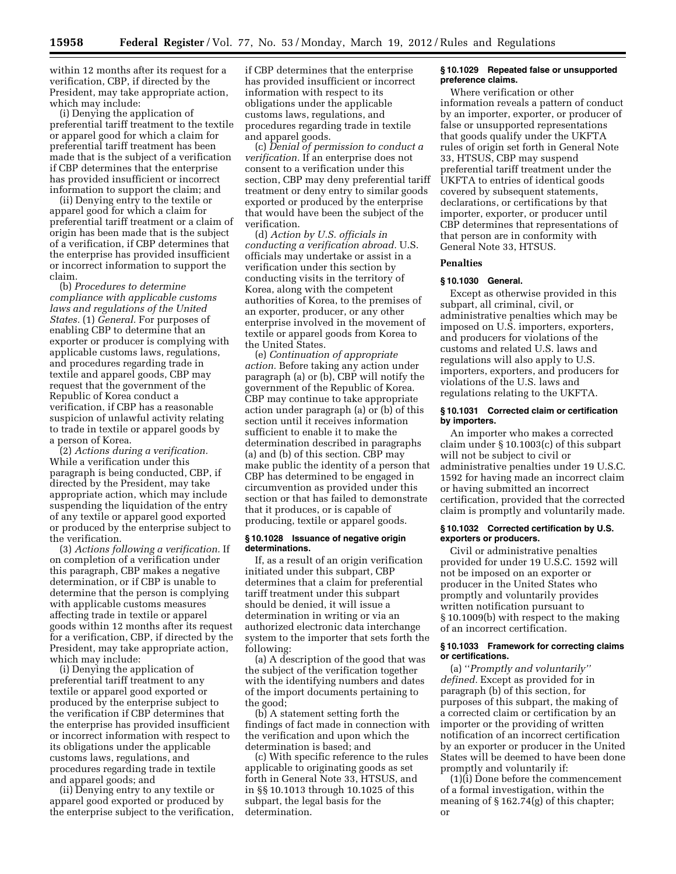within 12 months after its request for a verification, CBP, if directed by the President, may take appropriate action, which may include:

(i) Denying the application of preferential tariff treatment to the textile or apparel good for which a claim for preferential tariff treatment has been made that is the subject of a verification if CBP determines that the enterprise has provided insufficient or incorrect information to support the claim; and

(ii) Denying entry to the textile or apparel good for which a claim for preferential tariff treatment or a claim of origin has been made that is the subject of a verification, if CBP determines that the enterprise has provided insufficient or incorrect information to support the claim.

(b) *Procedures to determine compliance with applicable customs laws and regulations of the United States.* (1) *General.* For purposes of enabling CBP to determine that an exporter or producer is complying with applicable customs laws, regulations, and procedures regarding trade in textile and apparel goods, CBP may request that the government of the Republic of Korea conduct a verification, if CBP has a reasonable suspicion of unlawful activity relating to trade in textile or apparel goods by a person of Korea.

(2) *Actions during a verification.*  While a verification under this paragraph is being conducted, CBP, if directed by the President, may take appropriate action, which may include suspending the liquidation of the entry of any textile or apparel good exported or produced by the enterprise subject to the verification.

(3) *Actions following a verification.* If on completion of a verification under this paragraph, CBP makes a negative determination, or if CBP is unable to determine that the person is complying with applicable customs measures affecting trade in textile or apparel goods within 12 months after its request for a verification, CBP, if directed by the President, may take appropriate action, which may include:

(i) Denying the application of preferential tariff treatment to any textile or apparel good exported or produced by the enterprise subject to the verification if CBP determines that the enterprise has provided insufficient or incorrect information with respect to its obligations under the applicable customs laws, regulations, and procedures regarding trade in textile and apparel goods; and

(ii) Denying entry to any textile or apparel good exported or produced by the enterprise subject to the verification, if CBP determines that the enterprise has provided insufficient or incorrect information with respect to its obligations under the applicable customs laws, regulations, and procedures regarding trade in textile and apparel goods.

(c) *Denial of permission to conduct a verification.* If an enterprise does not consent to a verification under this section, CBP may deny preferential tariff treatment or deny entry to similar goods exported or produced by the enterprise that would have been the subject of the verification.

(d) *Action by U.S. officials in conducting a verification abroad.* U.S. officials may undertake or assist in a verification under this section by conducting visits in the territory of Korea, along with the competent authorities of Korea, to the premises of an exporter, producer, or any other enterprise involved in the movement of textile or apparel goods from Korea to the United States.

(e) *Continuation of appropriate action.* Before taking any action under paragraph (a) or (b), CBP will notify the government of the Republic of Korea. CBP may continue to take appropriate action under paragraph (a) or (b) of this section until it receives information sufficient to enable it to make the determination described in paragraphs (a) and (b) of this section. CBP may make public the identity of a person that CBP has determined to be engaged in circumvention as provided under this section or that has failed to demonstrate that it produces, or is capable of producing, textile or apparel goods.

### **§ 10.1028 Issuance of negative origin determinations.**

If, as a result of an origin verification initiated under this subpart, CBP determines that a claim for preferential tariff treatment under this subpart should be denied, it will issue a determination in writing or via an authorized electronic data interchange system to the importer that sets forth the following:

(a) A description of the good that was the subject of the verification together with the identifying numbers and dates of the import documents pertaining to the good;

(b) A statement setting forth the findings of fact made in connection with the verification and upon which the determination is based; and

(c) With specific reference to the rules applicable to originating goods as set forth in General Note 33, HTSUS, and in §§ 10.1013 through 10.1025 of this subpart, the legal basis for the determination.

### **§ 10.1029 Repeated false or unsupported preference claims.**

Where verification or other information reveals a pattern of conduct by an importer, exporter, or producer of false or unsupported representations that goods qualify under the UKFTA rules of origin set forth in General Note 33, HTSUS, CBP may suspend preferential tariff treatment under the UKFTA to entries of identical goods covered by subsequent statements, declarations, or certifications by that importer, exporter, or producer until CBP determines that representations of that person are in conformity with General Note 33, HTSUS.

## **Penalties**

# **§ 10.1030 General.**

Except as otherwise provided in this subpart, all criminal, civil, or administrative penalties which may be imposed on U.S. importers, exporters, and producers for violations of the customs and related U.S. laws and regulations will also apply to U.S. importers, exporters, and producers for violations of the U.S. laws and regulations relating to the UKFTA.

# **§ 10.1031 Corrected claim or certification by importers.**

An importer who makes a corrected claim under § 10.1003(c) of this subpart will not be subject to civil or administrative penalties under 19 U.S.C. 1592 for having made an incorrect claim or having submitted an incorrect certification, provided that the corrected claim is promptly and voluntarily made.

#### **§ 10.1032 Corrected certification by U.S. exporters or producers.**

Civil or administrative penalties provided for under 19 U.S.C. 1592 will not be imposed on an exporter or producer in the United States who promptly and voluntarily provides written notification pursuant to § 10.1009(b) with respect to the making of an incorrect certification.

# **§ 10.1033 Framework for correcting claims or certifications.**

(a) ''*Promptly and voluntarily'' defined.* Except as provided for in paragraph (b) of this section, for purposes of this subpart, the making of a corrected claim or certification by an importer or the providing of written notification of an incorrect certification by an exporter or producer in the United States will be deemed to have been done promptly and voluntarily if:

(1)(i) Done before the commencement of a formal investigation, within the meaning of § 162.74(g) of this chapter; or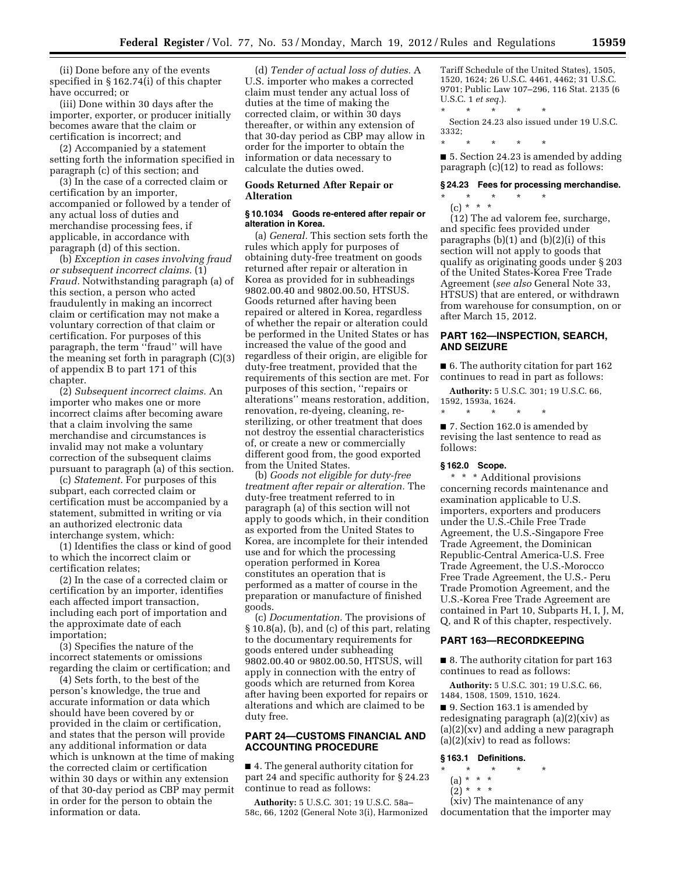(ii) Done before any of the events specified in § 162.74(i) of this chapter have occurred; or

(iii) Done within 30 days after the importer, exporter, or producer initially becomes aware that the claim or certification is incorrect; and

(2) Accompanied by a statement setting forth the information specified in paragraph (c) of this section; and

(3) In the case of a corrected claim or certification by an importer, accompanied or followed by a tender of any actual loss of duties and merchandise processing fees, if applicable, in accordance with paragraph (d) of this section.

(b) *Exception in cases involving fraud or subsequent incorrect claims.* (1) *Fraud.* Notwithstanding paragraph (a) of this section, a person who acted fraudulently in making an incorrect claim or certification may not make a voluntary correction of that claim or certification. For purposes of this paragraph, the term "fraud" will have the meaning set forth in paragraph (C)(3) of appendix B to part 171 of this chapter.

(2) *Subsequent incorrect claims.* An importer who makes one or more incorrect claims after becoming aware that a claim involving the same merchandise and circumstances is invalid may not make a voluntary correction of the subsequent claims pursuant to paragraph (a) of this section.

(c) *Statement.* For purposes of this subpart, each corrected claim or certification must be accompanied by a statement, submitted in writing or via an authorized electronic data interchange system, which:

(1) Identifies the class or kind of good to which the incorrect claim or certification relates;

(2) In the case of a corrected claim or certification by an importer, identifies each affected import transaction, including each port of importation and the approximate date of each importation;

(3) Specifies the nature of the incorrect statements or omissions regarding the claim or certification; and

(4) Sets forth, to the best of the person's knowledge, the true and accurate information or data which should have been covered by or provided in the claim or certification, and states that the person will provide any additional information or data which is unknown at the time of making the corrected claim or certification within 30 days or within any extension of that 30-day period as CBP may permit in order for the person to obtain the information or data.

(d) *Tender of actual loss of duties.* A U.S. importer who makes a corrected claim must tender any actual loss of duties at the time of making the corrected claim, or within 30 days thereafter, or within any extension of that 30-day period as CBP may allow in order for the importer to obtain the information or data necessary to calculate the duties owed.

## **Goods Returned After Repair or Alteration**

# **§ 10.1034 Goods re-entered after repair or alteration in Korea.**

(a) *General.* This section sets forth the rules which apply for purposes of obtaining duty-free treatment on goods returned after repair or alteration in Korea as provided for in subheadings 9802.00.40 and 9802.00.50, HTSUS. Goods returned after having been repaired or altered in Korea, regardless of whether the repair or alteration could be performed in the United States or has increased the value of the good and regardless of their origin, are eligible for duty-free treatment, provided that the requirements of this section are met. For purposes of this section, ''repairs or alterations'' means restoration, addition, renovation, re-dyeing, cleaning, resterilizing, or other treatment that does not destroy the essential characteristics of, or create a new or commercially different good from, the good exported from the United States.

(b) *Goods not eligible for duty-free treatment after repair or alteration.* The duty-free treatment referred to in paragraph (a) of this section will not apply to goods which, in their condition as exported from the United States to Korea, are incomplete for their intended use and for which the processing operation performed in Korea constitutes an operation that is performed as a matter of course in the preparation or manufacture of finished goods.

(c) *Documentation.* The provisions of § 10.8(a), (b), and (c) of this part, relating to the documentary requirements for goods entered under subheading 9802.00.40 or 9802.00.50, HTSUS, will apply in connection with the entry of goods which are returned from Korea after having been exported for repairs or alterations and which are claimed to be duty free.

# **PART 24—CUSTOMS FINANCIAL AND ACCOUNTING PROCEDURE**

■ 4. The general authority citation for part 24 and specific authority for § 24.23 continue to read as follows:

**Authority:** 5 U.S.C. 301; 19 U.S.C. 58a– 58c, 66, 1202 (General Note 3(i), Harmonized Tariff Schedule of the United States), 1505, 1520, 1624; 26 U.S.C. 4461, 4462; 31 U.S.C. 9701; Public Law 107–296, 116 Stat. 2135 (6 U.S.C. 1 *et seq.*). \* \* \* \* \*

Section 24.23 also issued under 19 U.S.C. 3332;

\* \* \* \* \*

■ 5. Section 24.23 is amended by adding paragraph (c)(12) to read as follows:

#### **§ 24.23 Fees for processing merchandise.**

\* \* \* \* \*

(c) \* \* \* (12) The ad valorem fee, surcharge, and specific fees provided under paragraphs  $(b)(1)$  and  $(b)(2)(i)$  of this section will not apply to goods that qualify as originating goods under § 203 of the United States-Korea Free Trade Agreement (*see also* General Note 33, HTSUS) that are entered, or withdrawn from warehouse for consumption, on or after March 15, 2012.

# **PART 162—INSPECTION, SEARCH, AND SEIZURE**

■ 6. The authority citation for part 162 continues to read in part as follows:

**Authority:** 5 U.S.C. 301; 19 U.S.C. 66, 1592, 1593a, 1624. \* \* \* \* \*

■ 7. Section 162.0 is amended by revising the last sentence to read as

# **§ 162.0 Scope.**

follows:

\* \* \* Additional provisions concerning records maintenance and examination applicable to U.S. importers, exporters and producers under the U.S.-Chile Free Trade Agreement, the U.S.-Singapore Free Trade Agreement, the Dominican Republic-Central America-U.S. Free Trade Agreement, the U.S.-Morocco Free Trade Agreement, the U.S.- Peru Trade Promotion Agreement, and the U.S.-Korea Free Trade Agreement are contained in Part 10, Subparts H, I, J, M, Q, and R of this chapter, respectively.

# **PART 163—RECORDKEEPING**

■ 8. The authority citation for part 163 continues to read as follows:

**Authority:** 5 U.S.C. 301; 19 U.S.C. 66, 1484, 1508, 1509, 1510, 1624.

■ 9. Section 163.1 is amended by redesignating paragraph (a)(2)(xiv) as  $(a)(2)(xv)$  and adding a new paragraph  $(a)(2)(xiv)$  to read as follows:

## **§ 163.1 Definitions.**

- \* \* \* \* \*
	- (a) \* \* \*  $(2)^*$  \* \* \*
	- (xiv) The maintenance of any

documentation that the importer may